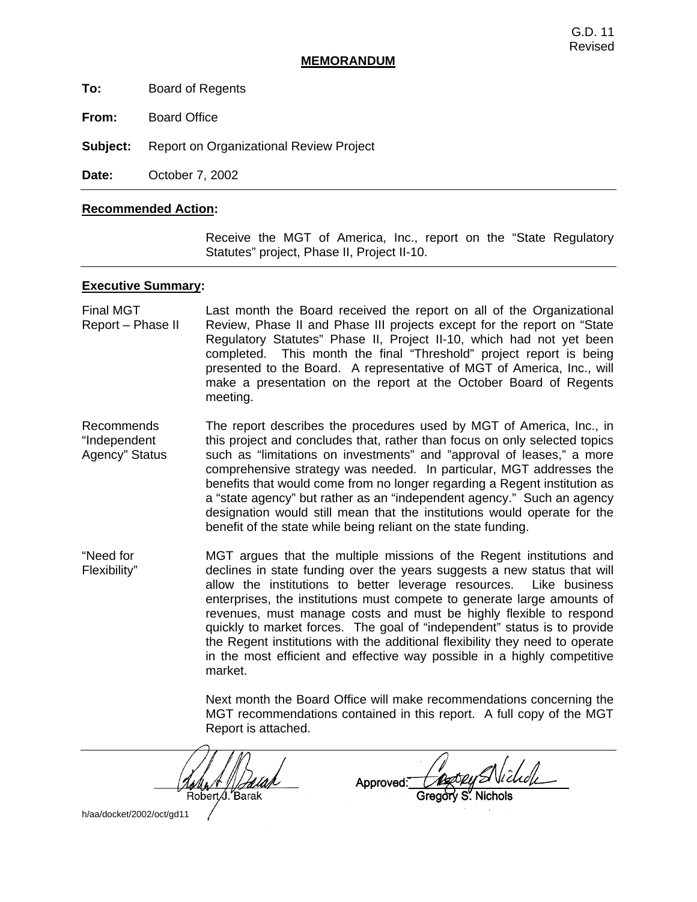#### **MEMORANDUM**

**To:** Board of Regents

**From:** Board Office

**Subject:** Report on Organizational Review Project

**Date:** October 7, 2002

#### **Recommended Action:**

 Receive the MGT of America, Inc., report on the "State Regulatory Statutes" project, Phase II, Project II-10.

#### **Executive Summary:**

Final MGT Report – Phase II Last month the Board received the report on all of the Organizational Review, Phase II and Phase III projects except for the report on "State Regulatory Statutes" Phase II, Project II-10, which had not yet been completed. This month the final "Threshold" project report is being presented to the Board. A representative of MGT of America, Inc., will make a presentation on the report at the October Board of Regents meeting.

Recommends "Independent Agency" Status The report describes the procedures used by MGT of America, Inc., in this project and concludes that, rather than focus on only selected topics such as "limitations on investments" and "approval of leases," a more comprehensive strategy was needed. In particular, MGT addresses the benefits that would come from no longer regarding a Regent institution as a "state agency" but rather as an "independent agency." Such an agency designation would still mean that the institutions would operate for the benefit of the state while being reliant on the state funding.

"Need for Flexibility" MGT argues that the multiple missions of the Regent institutions and declines in state funding over the years suggests a new status that will allow the institutions to better leverage resources. Like business enterprises, the institutions must compete to generate large amounts of revenues, must manage costs and must be highly flexible to respond quickly to market forces. The goal of "independent" status is to provide the Regent institutions with the additional flexibility they need to operate in the most efficient and effective way possible in a highly competitive market.

> Next month the Board Office will make recommendations concerning the MGT recommendations contained in this report. A full copy of the MGT Report is attached.

Robert J. Barak

Approved:

h/aa/docket/2002/oct/gd11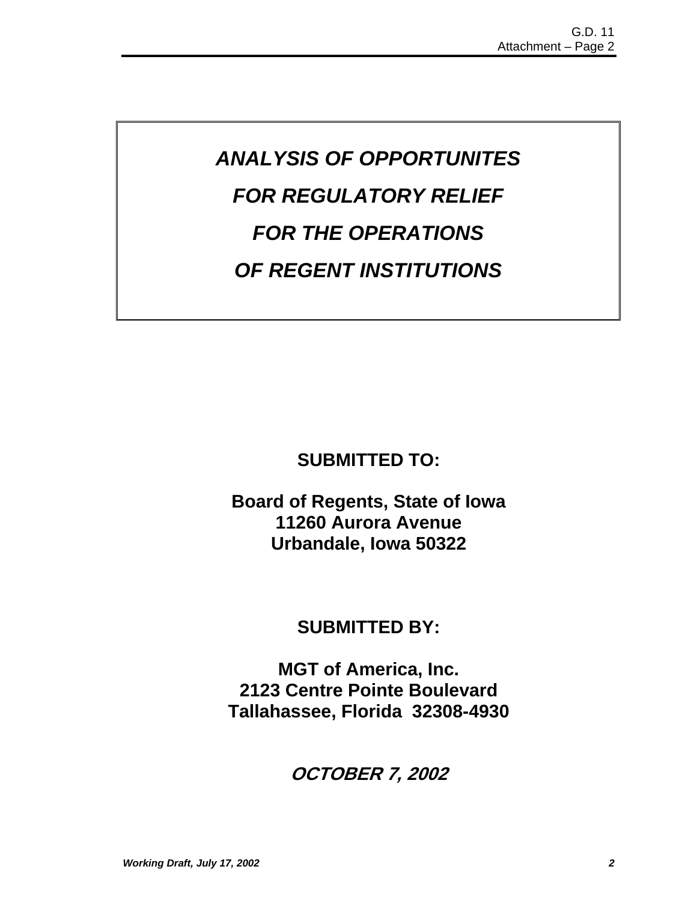# *ANALYSIS OF OPPORTUNITES FOR REGULATORY RELIEF FOR THE OPERATIONS OF REGENT INSTITUTIONS*

# **SUBMITTED TO:**

**Board of Regents, State of Iowa 11260 Aurora Avenue Urbandale, Iowa 50322** 

# **SUBMITTED BY:**

**MGT of America, Inc. 2123 Centre Pointe Boulevard Tallahassee, Florida 32308-4930** 

# **OCTOBER 7, 2002**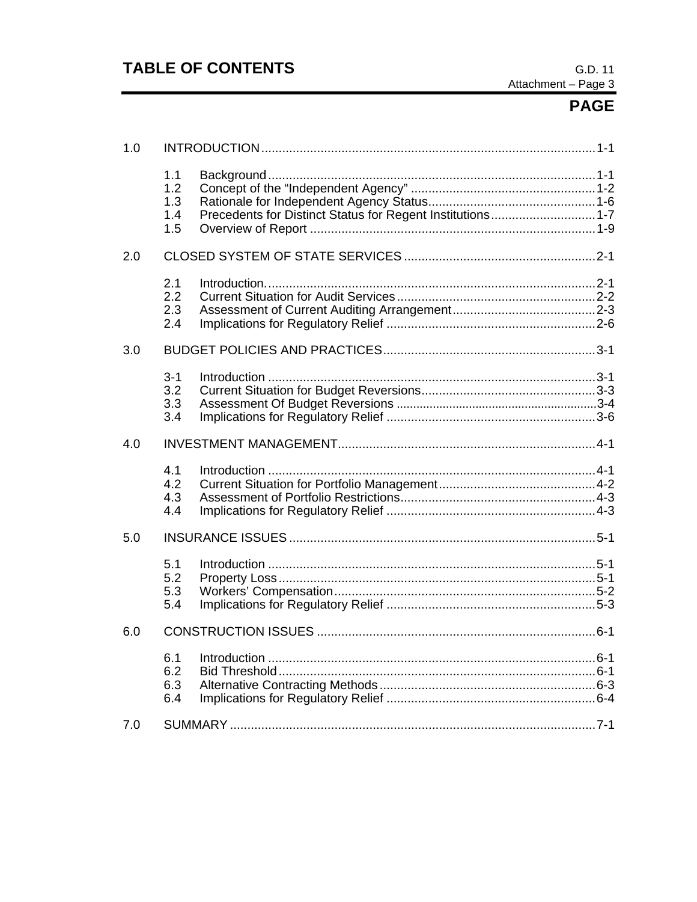# **TABLE OF CONTENTS**

# **PAGE**

| 1.0 |                                 |  |
|-----|---------------------------------|--|
|     | 1.1<br>1.2<br>1.3<br>1.4<br>1.5 |  |
| 2.0 |                                 |  |
|     | 2.1<br>2.2<br>2.3<br>2.4        |  |
| 3.0 |                                 |  |
|     | $3 - 1$<br>3.2<br>3.3<br>3.4    |  |
| 4.0 |                                 |  |
|     | 4.1<br>4.2<br>4.3<br>4.4        |  |
| 5.0 |                                 |  |
|     | 5.1<br>5.2<br>5.3<br>5.4        |  |
| 6.0 |                                 |  |
|     | 6.1<br>6.2<br>6.3<br>6.4        |  |
| 7.0 |                                 |  |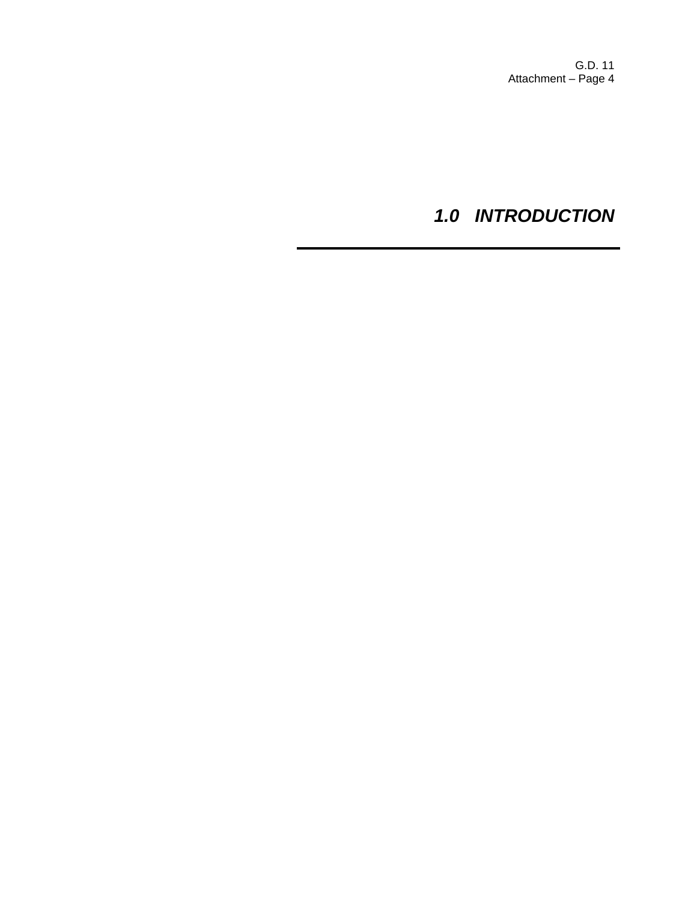# *1.0 INTRODUCTION*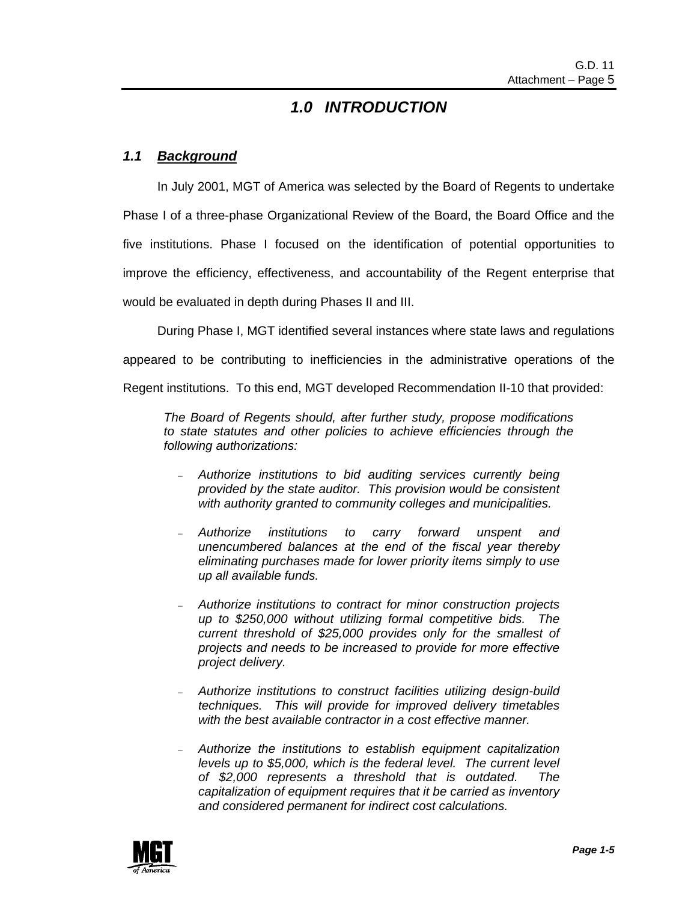### *1.0 INTRODUCTION*

### *1.1 Background*

 In July 2001, MGT of America was selected by the Board of Regents to undertake Phase I of a three-phase Organizational Review of the Board, the Board Office and the five institutions. Phase I focused on the identification of potential opportunities to improve the efficiency, effectiveness, and accountability of the Regent enterprise that would be evaluated in depth during Phases II and III.

During Phase I, MGT identified several instances where state laws and regulations

appeared to be contributing to inefficiencies in the administrative operations of the

Regent institutions. To this end, MGT developed Recommendation II-10 that provided:

*The Board of Regents should, after further study, propose modifications to state statutes and other policies to achieve efficiencies through the following authorizations:* 

- − *Authorize institutions to bid auditing services currently being provided by the state auditor. This provision would be consistent with authority granted to community colleges and municipalities.*
- − *Authorize institutions to carry forward unspent and unencumbered balances at the end of the fiscal year thereby eliminating purchases made for lower priority items simply to use up all available funds.*
- − *Authorize institutions to contract for minor construction projects up to \$250,000 without utilizing formal competitive bids. The current threshold of \$25,000 provides only for the smallest of projects and needs to be increased to provide for more effective project delivery.*
- − *Authorize institutions to construct facilities utilizing design-build techniques. This will provide for improved delivery timetables with the best available contractor in a cost effective manner.*
- − *Authorize the institutions to establish equipment capitalization levels up to \$5,000, which is the federal level. The current level of \$2,000 represents a threshold that is outdated. The capitalization of equipment requires that it be carried as inventory and considered permanent for indirect cost calculations.*

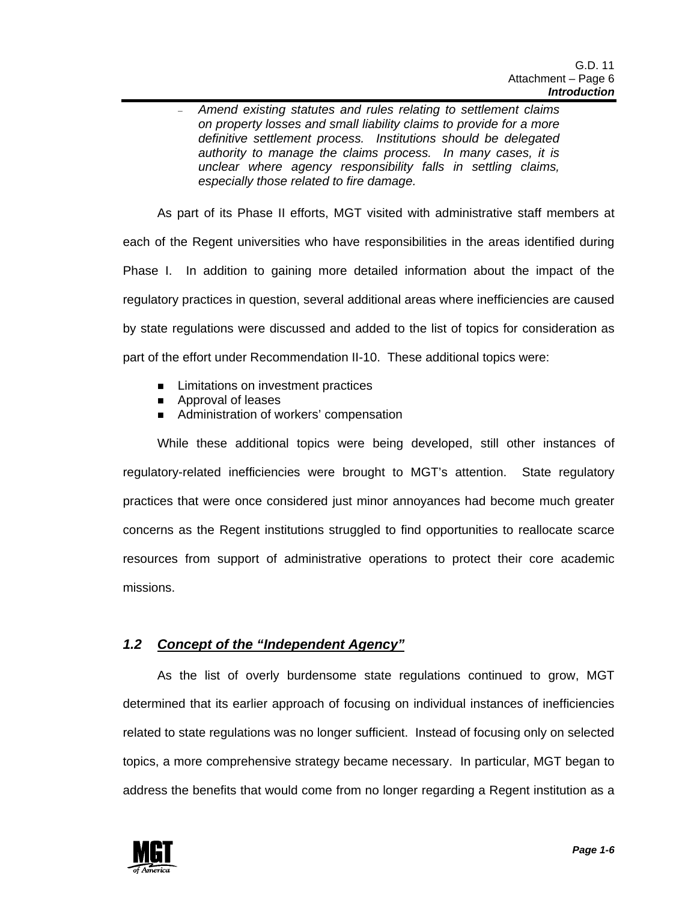− *Amend existing statutes and rules relating to settlement claims on property losses and small liability claims to provide for a more definitive settlement process. Institutions should be delegated authority to manage the claims process. In many cases, it is unclear where agency responsibility falls in settling claims, especially those related to fire damage.*

 As part of its Phase II efforts, MGT visited with administrative staff members at each of the Regent universities who have responsibilities in the areas identified during Phase I. In addition to gaining more detailed information about the impact of the regulatory practices in question, several additional areas where inefficiencies are caused by state regulations were discussed and added to the list of topics for consideration as part of the effort under Recommendation II-10. These additional topics were:

- **E** Limitations on investment practices
- **E** Approval of leases
- **EXECUTE:** Administration of workers' compensation

 While these additional topics were being developed, still other instances of regulatory-related inefficiencies were brought to MGT's attention. State regulatory practices that were once considered just minor annoyances had become much greater concerns as the Regent institutions struggled to find opportunities to reallocate scarce resources from support of administrative operations to protect their core academic missions.

### *1.2 Concept of the "Independent Agency"*

 As the list of overly burdensome state regulations continued to grow, MGT determined that its earlier approach of focusing on individual instances of inefficiencies related to state regulations was no longer sufficient. Instead of focusing only on selected topics, a more comprehensive strategy became necessary. In particular, MGT began to address the benefits that would come from no longer regarding a Regent institution as a

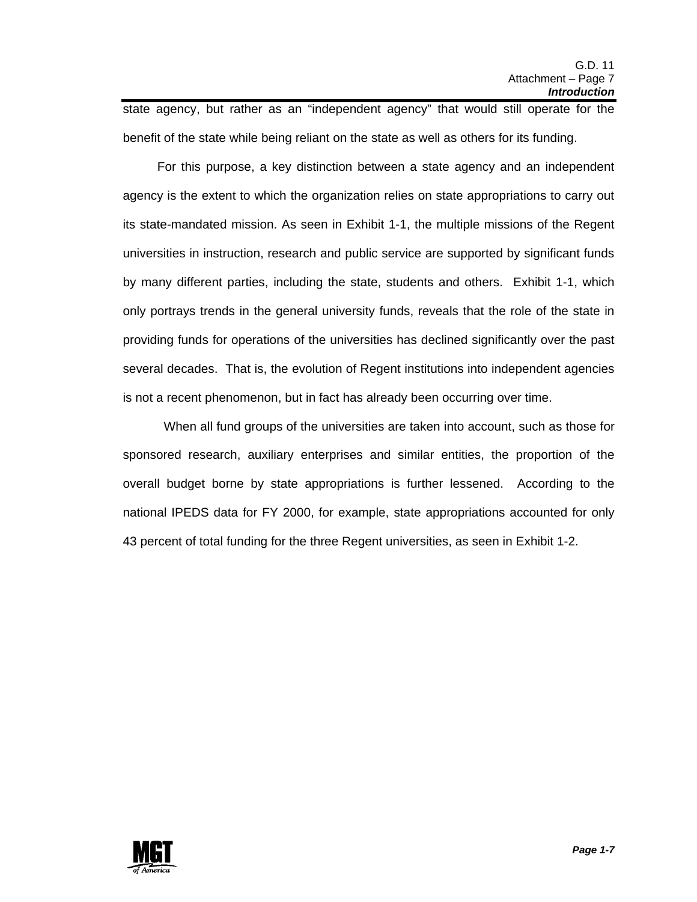state agency, but rather as an "independent agency" that would still operate for the benefit of the state while being reliant on the state as well as others for its funding.

 For this purpose, a key distinction between a state agency and an independent agency is the extent to which the organization relies on state appropriations to carry out its state-mandated mission. As seen in Exhibit 1-1, the multiple missions of the Regent universities in instruction, research and public service are supported by significant funds by many different parties, including the state, students and others. Exhibit 1-1, which only portrays trends in the general university funds, reveals that the role of the state in providing funds for operations of the universities has declined significantly over the past several decades. That is, the evolution of Regent institutions into independent agencies is not a recent phenomenon, but in fact has already been occurring over time.

 When all fund groups of the universities are taken into account, such as those for sponsored research, auxiliary enterprises and similar entities, the proportion of the overall budget borne by state appropriations is further lessened. According to the national IPEDS data for FY 2000, for example, state appropriations accounted for only 43 percent of total funding for the three Regent universities, as seen in Exhibit 1-2.

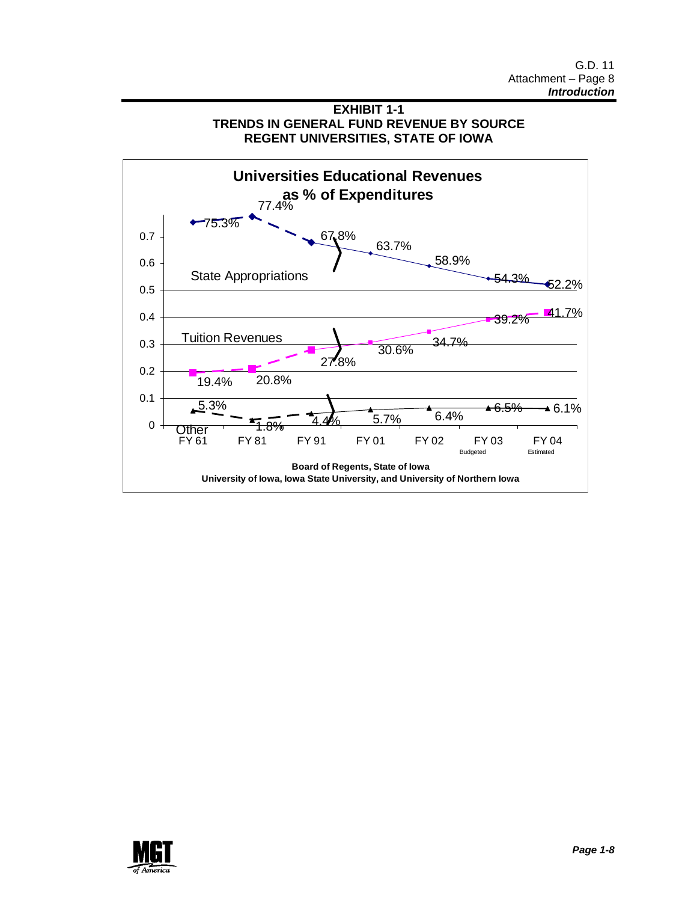



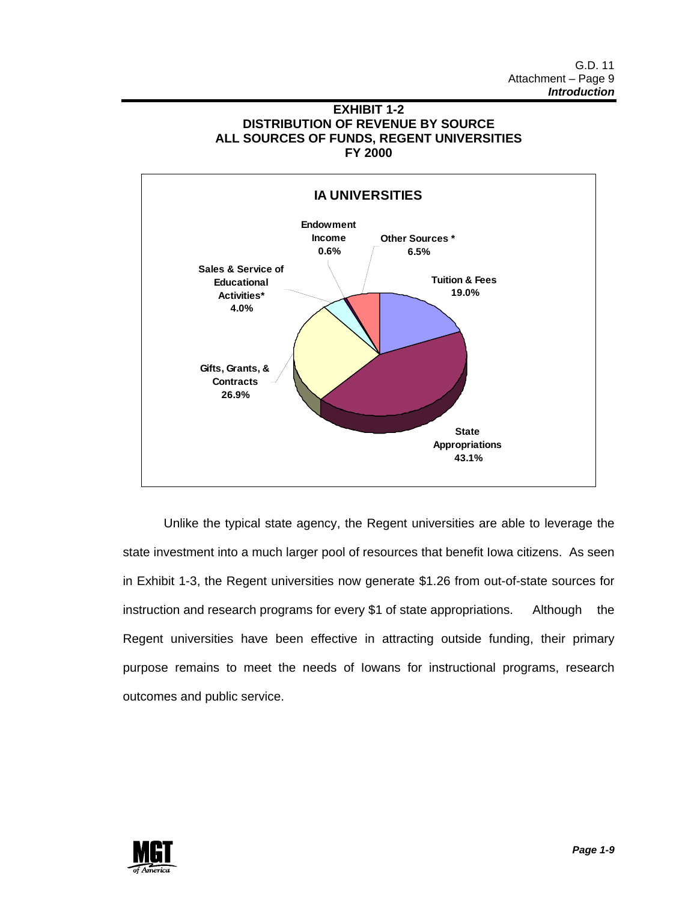



 Unlike the typical state agency, the Regent universities are able to leverage the state investment into a much larger pool of resources that benefit Iowa citizens. As seen in Exhibit 1-3, the Regent universities now generate \$1.26 from out-of-state sources for instruction and research programs for every \$1 of state appropriations. Although the Regent universities have been effective in attracting outside funding, their primary purpose remains to meet the needs of Iowans for instructional programs, research outcomes and public service.

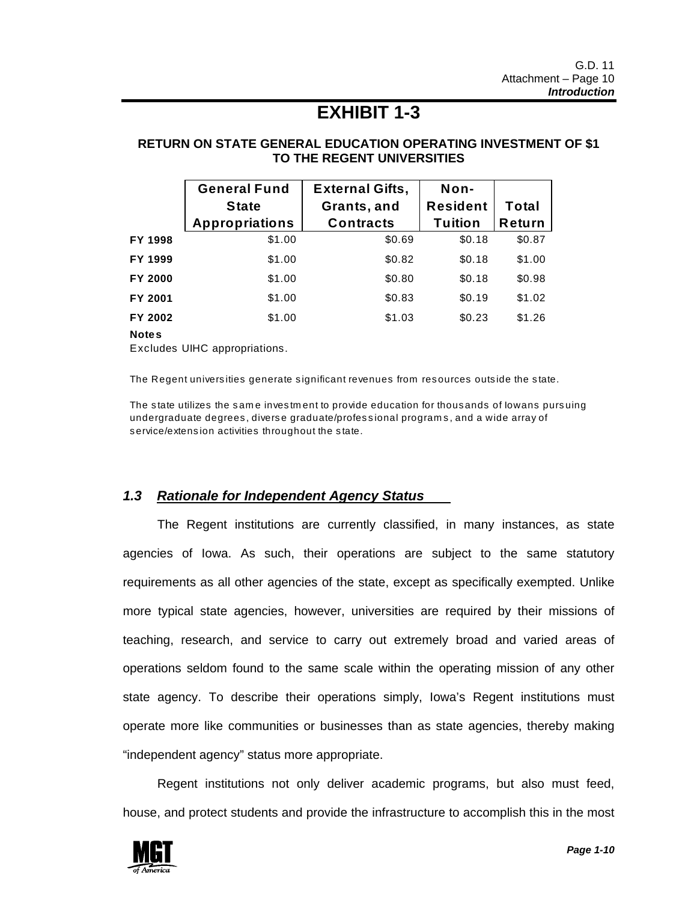# **EXHIBIT 1-3**

### **RETURN ON STATE GENERAL EDUCATION OPERATING INVESTMENT OF \$1 TO THE REGENT UNIVERSITIES**

|         | <b>General Fund</b>   | <b>External Gifts,</b> | Non-            |              |
|---------|-----------------------|------------------------|-----------------|--------------|
|         | <b>State</b>          | Grants, and            | <b>Resident</b> | <b>Total</b> |
|         | <b>Appropriations</b> | <b>Contracts</b>       | <b>Tuition</b>  | Return       |
| FY 1998 | \$1.00                | \$0.69                 | \$0.18          | \$0.87       |
| FY 1999 | \$1.00                | \$0.82                 | \$0.18          | \$1.00       |
| FY 2000 | \$1.00                | \$0.80                 | \$0.18          | \$0.98       |
| FY 2001 | \$1.00                | \$0.83                 | \$0.19          | \$1.02       |
| FY 2002 | \$1.00                | \$1.03                 | \$0.23          | \$1.26       |
|         |                       |                        |                 |              |

**Notes**

Excludes UIHC appropriations.

The Regent universities generate significant revenues from resources outside the state.

The state utilizes the same investment to provide education for thous ands of lowans pursuing undergraduate degrees, diverse graduate/professional programs, and a wide array of s ervice/extens ion activities throughout the s tate.

### *1.3 Rationale for Independent Agency Status*

 The Regent institutions are currently classified, in many instances, as state agencies of Iowa. As such, their operations are subject to the same statutory requirements as all other agencies of the state, except as specifically exempted. Unlike more typical state agencies, however, universities are required by their missions of teaching, research, and service to carry out extremely broad and varied areas of operations seldom found to the same scale within the operating mission of any other state agency. To describe their operations simply, Iowa's Regent institutions must operate more like communities or businesses than as state agencies, thereby making "independent agency" status more appropriate.

 Regent institutions not only deliver academic programs, but also must feed, house, and protect students and provide the infrastructure to accomplish this in the most

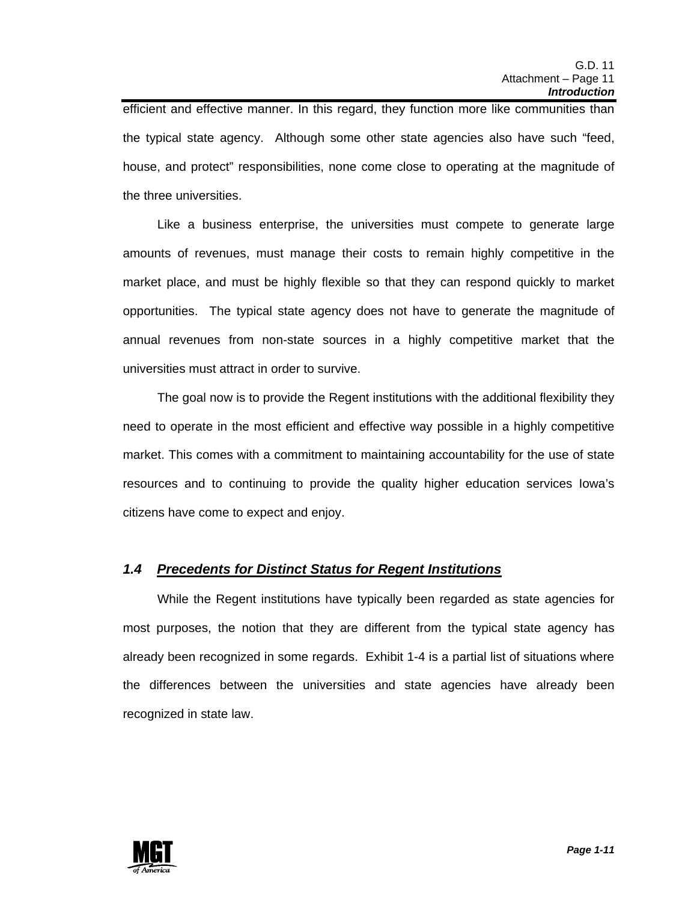efficient and effective manner. In this regard, they function more like communities than the typical state agency. Although some other state agencies also have such "feed, house, and protect" responsibilities, none come close to operating at the magnitude of the three universities.

 Like a business enterprise, the universities must compete to generate large amounts of revenues, must manage their costs to remain highly competitive in the market place, and must be highly flexible so that they can respond quickly to market opportunities. The typical state agency does not have to generate the magnitude of annual revenues from non-state sources in a highly competitive market that the universities must attract in order to survive.

 The goal now is to provide the Regent institutions with the additional flexibility they need to operate in the most efficient and effective way possible in a highly competitive market. This comes with a commitment to maintaining accountability for the use of state resources and to continuing to provide the quality higher education services Iowa's citizens have come to expect and enjoy.

### *1.4 Precedents for Distinct Status for Regent Institutions*

 While the Regent institutions have typically been regarded as state agencies for most purposes, the notion that they are different from the typical state agency has already been recognized in some regards. Exhibit 1-4 is a partial list of situations where the differences between the universities and state agencies have already been recognized in state law.

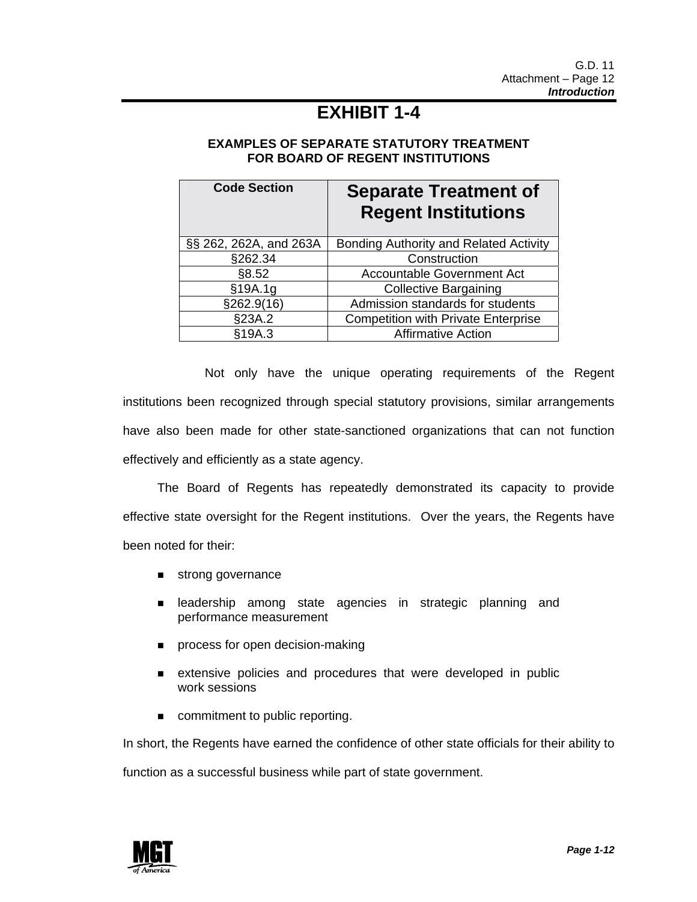# **EXHIBIT 1-4**

### **EXAMPLES OF SEPARATE STATUTORY TREATMENT FOR BOARD OF REGENT INSTITUTIONS**

| <b>Code Section</b>    | <b>Separate Treatment of</b><br><b>Regent Institutions</b> |
|------------------------|------------------------------------------------------------|
| §§ 262, 262A, and 263A | Bonding Authority and Related Activity                     |
| §262.34                | Construction                                               |
| §8.52                  | Accountable Government Act                                 |
| §19A.1g                | <b>Collective Bargaining</b>                               |
| §262.9(16)             | Admission standards for students                           |
| §23A.2                 | <b>Competition with Private Enterprise</b>                 |
| §19A.3                 | <b>Affirmative Action</b>                                  |

 Not only have the unique operating requirements of the Regent institutions been recognized through special statutory provisions, similar arrangements have also been made for other state-sanctioned organizations that can not function effectively and efficiently as a state agency.

 The Board of Regents has repeatedly demonstrated its capacity to provide effective state oversight for the Regent institutions. Over the years, the Regents have been noted for their:

- **strong governance**
- **E** leadership among state agencies in strategic planning and performance measurement
- **Paramele is a process for open decision-making**
- **EXTERGO** Extensive policies and procedures that were developed in public work sessions
- commitment to public reporting.

In short, the Regents have earned the confidence of other state officials for their ability to

function as a successful business while part of state government.

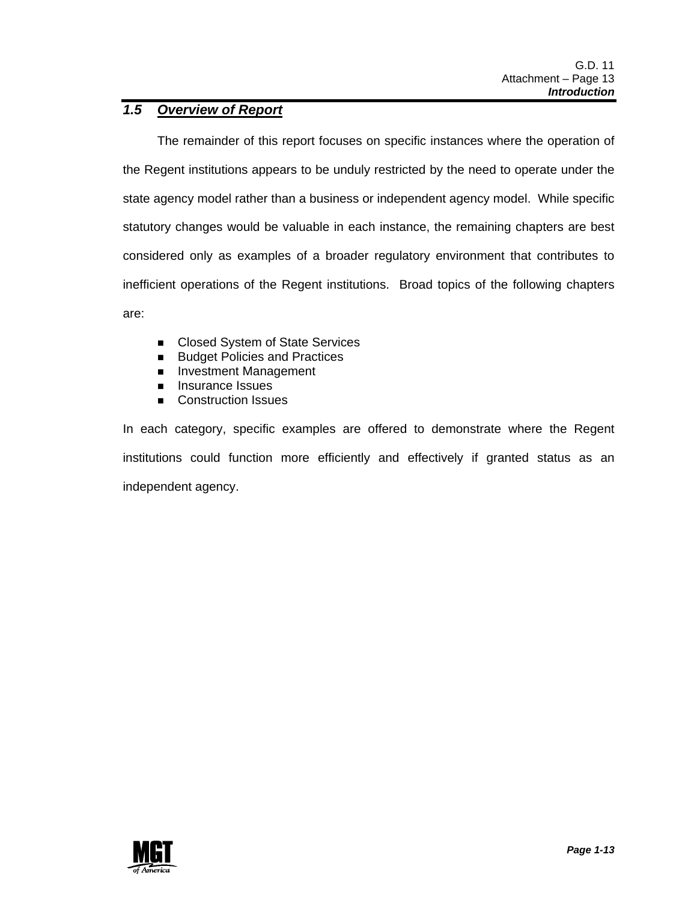### *1.5 Overview of Report*

 The remainder of this report focuses on specific instances where the operation of the Regent institutions appears to be unduly restricted by the need to operate under the state agency model rather than a business or independent agency model. While specific statutory changes would be valuable in each instance, the remaining chapters are best considered only as examples of a broader regulatory environment that contributes to inefficient operations of the Regent institutions. Broad topics of the following chapters are:

- Closed System of State Services
- **Budget Policies and Practices**
- **Investment Management**
- **Insurance Issues**
- **E.** Construction Issues

In each category, specific examples are offered to demonstrate where the Regent institutions could function more efficiently and effectively if granted status as an independent agency.

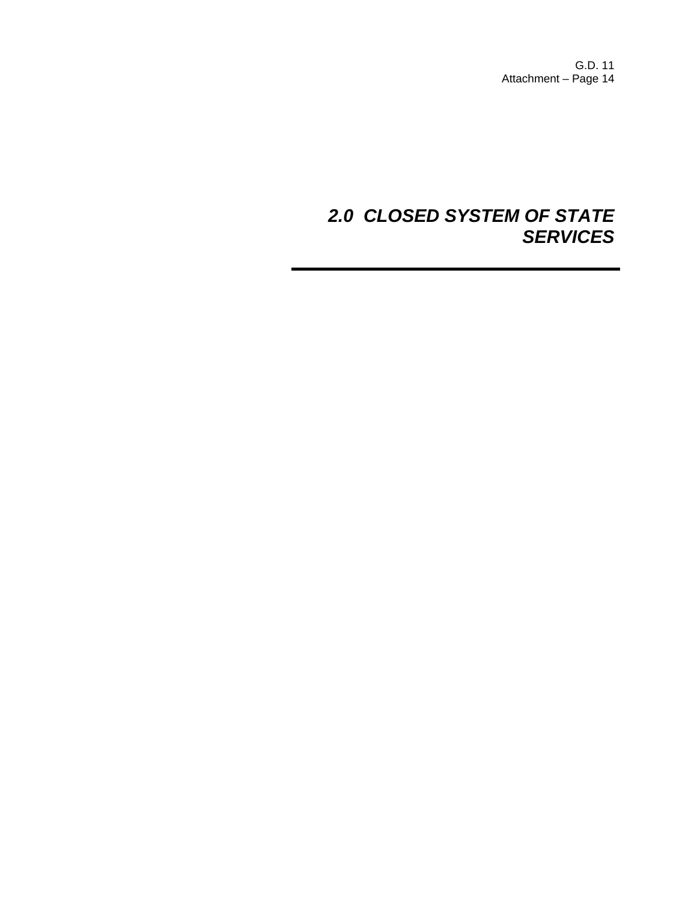G.D. 11 Attachment – Page 14

# *2.0 CLOSED SYSTEM OF STATE SERVICES*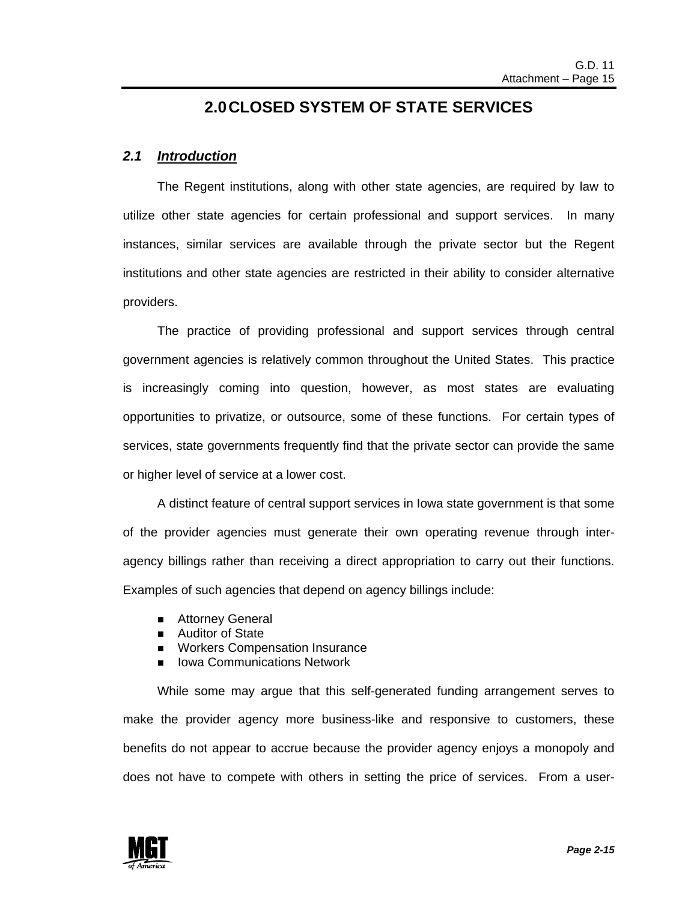### **2.0 CLOSED SYSTEM OF STATE SERVICES**

### *2.1 Introduction*

 The Regent institutions, along with other state agencies, are required by law to utilize other state agencies for certain professional and support services. In many instances, similar services are available through the private sector but the Regent institutions and other state agencies are restricted in their ability to consider alternative providers.

 The practice of providing professional and support services through central government agencies is relatively common throughout the United States. This practice is increasingly coming into question, however, as most states are evaluating opportunities to privatize, or outsource, some of these functions. For certain types of services, state governments frequently find that the private sector can provide the same or higher level of service at a lower cost.

 A distinct feature of central support services in Iowa state government is that some of the provider agencies must generate their own operating revenue through interagency billings rather than receiving a direct appropriation to carry out their functions. Examples of such agencies that depend on agency billings include:

- **E** Attorney General
- **E** Auditor of State
- **I** Workers Compensation Insurance
- **E.** Iowa Communications Network

While some may argue that this self-generated funding arrangement serves to make the provider agency more business-like and responsive to customers, these benefits do not appear to accrue because the provider agency enjoys a monopoly and does not have to compete with others in setting the price of services. From a user-

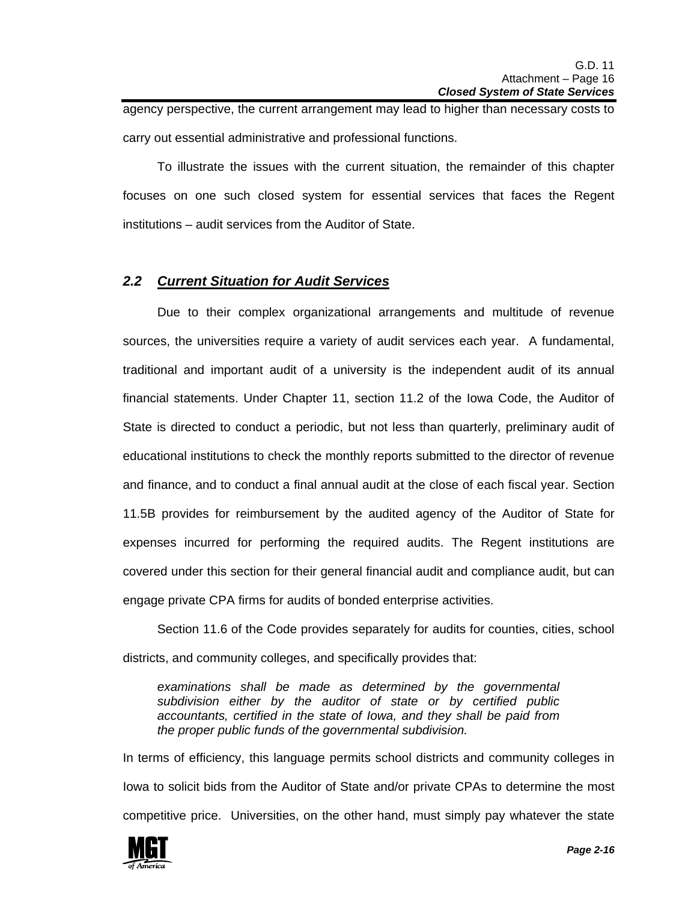agency perspective, the current arrangement may lead to higher than necessary costs to carry out essential administrative and professional functions.

To illustrate the issues with the current situation, the remainder of this chapter focuses on one such closed system for essential services that faces the Regent institutions – audit services from the Auditor of State.

### *2.2 Current Situation for Audit Services*

Due to their complex organizational arrangements and multitude of revenue sources, the universities require a variety of audit services each year. A fundamental, traditional and important audit of a university is the independent audit of its annual financial statements. Under Chapter 11, section 11.2 of the Iowa Code, the Auditor of State is directed to conduct a periodic, but not less than quarterly, preliminary audit of educational institutions to check the monthly reports submitted to the director of revenue and finance, and to conduct a final annual audit at the close of each fiscal year. Section 11.5B provides for reimbursement by the audited agency of the Auditor of State for expenses incurred for performing the required audits. The Regent institutions are covered under this section for their general financial audit and compliance audit, but can engage private CPA firms for audits of bonded enterprise activities.

 Section 11.6 of the Code provides separately for audits for counties, cities, school districts, and community colleges, and specifically provides that:

*examinations shall be made as determined by the governmental subdivision either by the auditor of state or by certified public accountants, certified in the state of Iowa, and they shall be paid from the proper public funds of the governmental subdivision.* 

In terms of efficiency, this language permits school districts and community colleges in Iowa to solicit bids from the Auditor of State and/or private CPAs to determine the most competitive price. Universities, on the other hand, must simply pay whatever the state

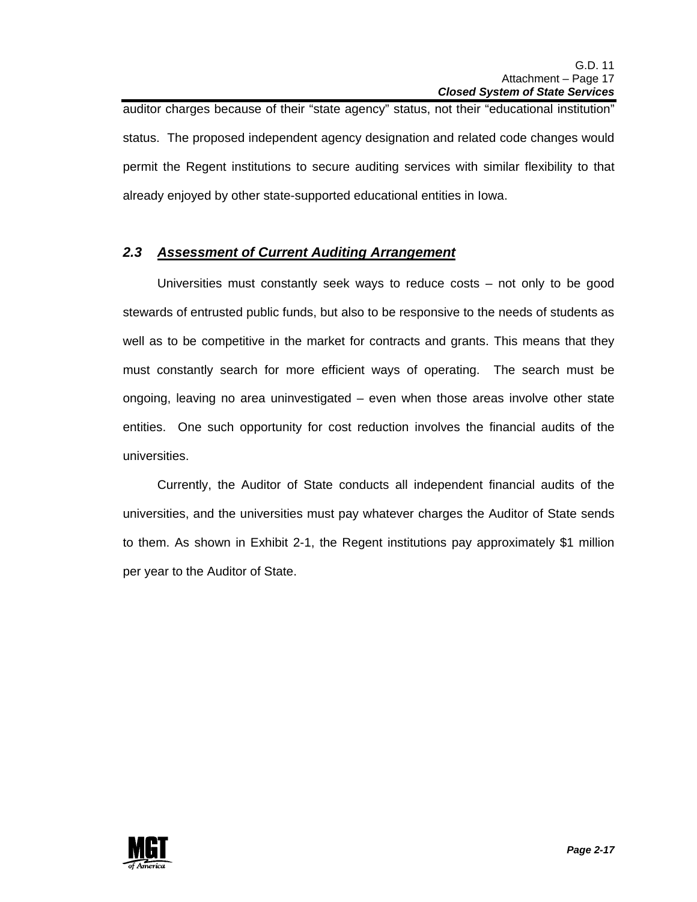auditor charges because of their "state agency" status, not their "educational institution" status. The proposed independent agency designation and related code changes would permit the Regent institutions to secure auditing services with similar flexibility to that already enjoyed by other state-supported educational entities in Iowa.

### *2.3 Assessment of Current Auditing Arrangement*

 Universities must constantly seek ways to reduce costs – not only to be good stewards of entrusted public funds, but also to be responsive to the needs of students as well as to be competitive in the market for contracts and grants. This means that they must constantly search for more efficient ways of operating. The search must be ongoing, leaving no area uninvestigated – even when those areas involve other state entities. One such opportunity for cost reduction involves the financial audits of the universities.

 Currently, the Auditor of State conducts all independent financial audits of the universities, and the universities must pay whatever charges the Auditor of State sends to them. As shown in Exhibit 2-1, the Regent institutions pay approximately \$1 million per year to the Auditor of State.

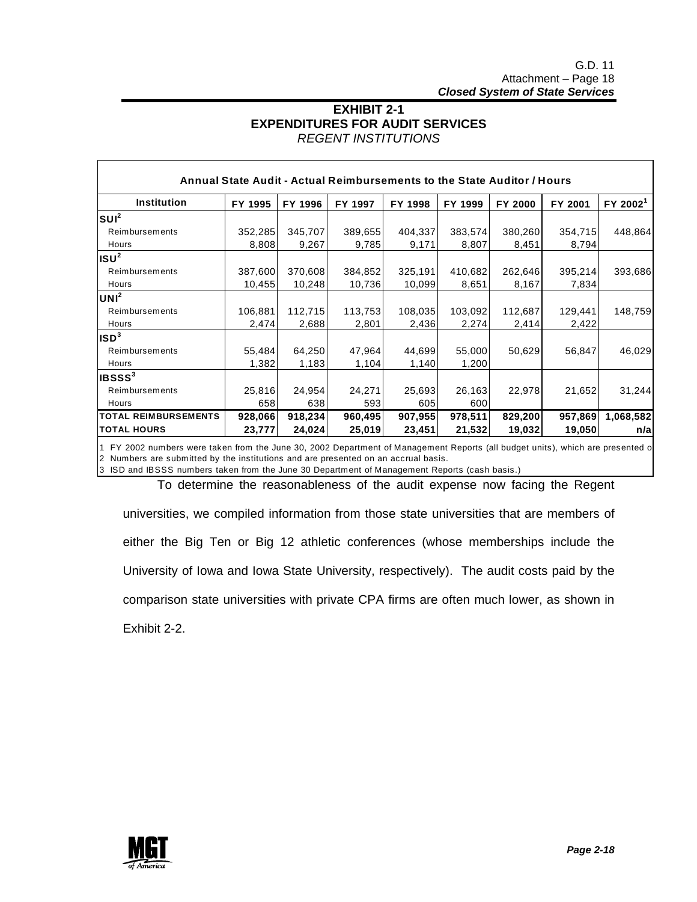### **EXHIBIT 2-1 EXPENDITURES FOR AUDIT SERVICES**  *REGENT INSTITUTIONS*

| <b>Institution</b>          | FY 1995 | FY 1996 | FY 1997 | FY 1998 | FY 1999 | FY 2000 | FY 2001 | FY 2002 <sup>1</sup> |
|-----------------------------|---------|---------|---------|---------|---------|---------|---------|----------------------|
| $ SUI^2 $                   |         |         |         |         |         |         |         |                      |
| Reimbursements              | 352,285 | 345,707 | 389,655 | 404,337 | 383,574 | 380,260 | 354,715 | 448,864              |
| Hours                       | 8,808   | 9,267   | 9,785   | 9,171   | 8,807   | 8,451   | 8,794   |                      |
| ISU <sup>2</sup>            |         |         |         |         |         |         |         |                      |
| Reimbursements              | 387,600 | 370,608 | 384,852 | 325,191 | 410,682 | 262,646 | 395,214 | 393,686              |
| Hours                       | 10,455  | 10,248  | 10,736  | 10,099  | 8,651   | 8,167   | 7,834   |                      |
| UNI <sup>2</sup>            |         |         |         |         |         |         |         |                      |
| Reimbursements              | 106,881 | 112,715 | 113,753 | 108,035 | 103,092 | 112,687 | 129,441 | 148,759              |
| Hours                       | 2,474   | 2,688   | 2,801   | 2,436   | 2,274   | 2,414   | 2,422   |                      |
| ISD <sup>3</sup>            |         |         |         |         |         |         |         |                      |
| Reimbursements              | 55,484  | 64,250  | 47,964  | 44,699  | 55,000  | 50,629  | 56,847  | 46,029               |
| Hours                       | 1,382   | 1,183   | 1,104   | 1,140   | 1,200   |         |         |                      |
| IBSSS <sup>3</sup>          |         |         |         |         |         |         |         |                      |
| Reimbursements              | 25,816  | 24,954  | 24,271  | 25,693  | 26,163  | 22,978  | 21,652  | 31,244               |
| Hours                       | 658     | 638     | 593     | 605     | 600     |         |         |                      |
| <b>TOTAL REIMBURSEMENTS</b> | 928,066 | 918,234 | 960,495 | 907,955 | 978,511 | 829,200 | 957,869 | 1,068,582            |
| <b>TOTAL HOURS</b>          | 23,777  | 24,024  | 25,019  | 23,451  | 21,532  | 19,032  | 19,050  | n/a                  |

1 FY 2002 numbers were taken from the June 30, 2002 Department of Management Reports (all budget units), which are presented o 2 Numbers are submitted by the institutions and are presented on an accrual basis.

3 ISD and IBSSS numbers taken from the June 30 Department of Management Reports (cash basis.)

 To determine the reasonableness of the audit expense now facing the Regent universities, we compiled information from those state universities that are members of either the Big Ten or Big 12 athletic conferences (whose memberships include the University of Iowa and Iowa State University, respectively). The audit costs paid by the comparison state universities with private CPA firms are often much lower, as shown in Exhibit 2-2.

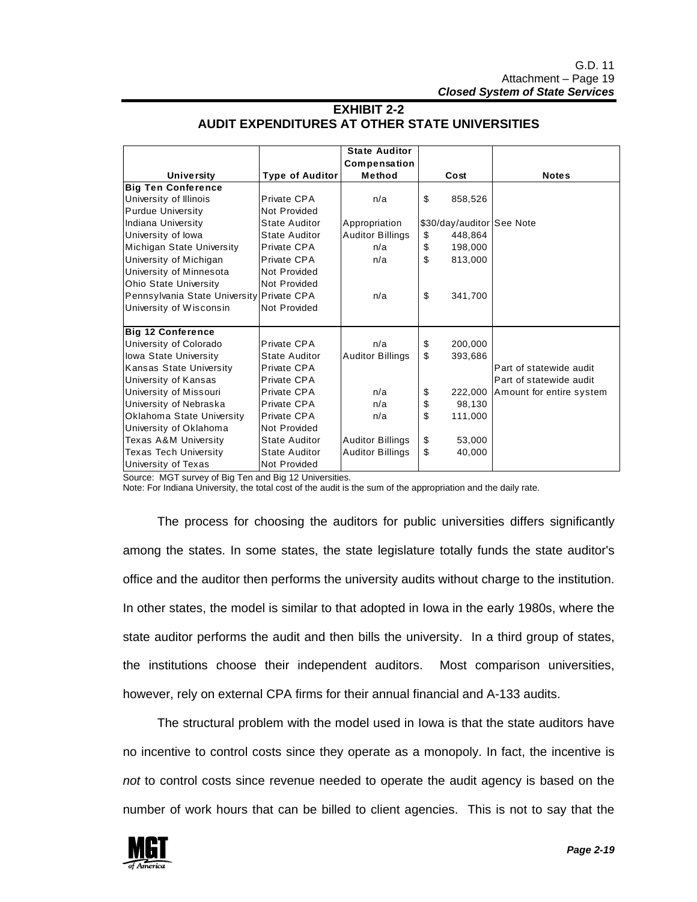|                                           |                      | <b>State Auditor</b>    |                           |                          |
|-------------------------------------------|----------------------|-------------------------|---------------------------|--------------------------|
|                                           |                      | Compensation            |                           |                          |
| <b>University</b>                         | Type of Auditor      | Method                  | Cost                      | <b>Notes</b>             |
| <b>Big Ten Conference</b>                 |                      |                         |                           |                          |
| University of Illinois                    | Private CPA          | n/a                     | \$<br>858,526             |                          |
| <b>Purdue University</b>                  | Not Provided         |                         |                           |                          |
| Indiana University                        | State Auditor        | Appropriation           | \$30/day/auditor See Note |                          |
| University of lowa                        | State Auditor        | <b>Auditor Billings</b> | \$<br>448,864             |                          |
| Michigan State University                 | Private CPA          | n/a                     | \$<br>198,000             |                          |
| University of Michigan                    | Private CPA          | n/a                     | \$<br>813,000             |                          |
| University of Minnesota                   | Not Provided         |                         |                           |                          |
| <b>Ohio State University</b>              | Not Provided         |                         |                           |                          |
| Pennsylvania State University Private CPA |                      | n/a                     | \$<br>341,700             |                          |
| University of Wisconsin                   | Not Provided         |                         |                           |                          |
|                                           |                      |                         |                           |                          |
| <b>Big 12 Conference</b>                  |                      |                         |                           |                          |
| University of Colorado                    | Private CPA          | n/a                     | \$<br>200,000             |                          |
| lowa State University                     | <b>State Auditor</b> | <b>Auditor Billings</b> | \$<br>393,686             |                          |
| <b>Kansas State University</b>            | Private CPA          |                         |                           | Part of statewide audit  |
| University of Kansas                      | Private CPA          |                         |                           | Part of statewide audit  |
| University of Missouri                    | Private CPA          | n/a                     | \$<br>222,000             | Amount for entire system |
| University of Nebraska                    | Private CPA          | n/a                     | \$<br>98,130              |                          |
| Oklahoma State University                 | Private CPA          | n/a                     | \$<br>111,000             |                          |
| University of Oklahoma                    | Not Provided         |                         |                           |                          |
| Texas A&M University                      | <b>State Auditor</b> | <b>Auditor Billings</b> | \$<br>53,000              |                          |
| <b>Texas Tech University</b>              | <b>State Auditor</b> | <b>Auditor Billings</b> | \$<br>40,000              |                          |
| University of Texas                       | Not Provided         |                         |                           |                          |

#### **EXHIBIT 2-2 AUDIT EXPENDITURES AT OTHER STATE UNIVERSITIES**

Source: MGT survey of Big Ten and Big 12 Universities.

Note: For Indiana University, the total cost of the audit is the sum of the appropriation and the daily rate.

 The process for choosing the auditors for public universities differs significantly among the states. In some states, the state legislature totally funds the state auditor's office and the auditor then performs the university audits without charge to the institution. In other states, the model is similar to that adopted in Iowa in the early 1980s, where the state auditor performs the audit and then bills the university. In a third group of states, the institutions choose their independent auditors. Most comparison universities, however, rely on external CPA firms for their annual financial and A-133 audits.

 The structural problem with the model used in Iowa is that the state auditors have no incentive to control costs since they operate as a monopoly. In fact, the incentive is *not* to control costs since revenue needed to operate the audit agency is based on the number of work hours that can be billed to client agencies. This is not to say that the

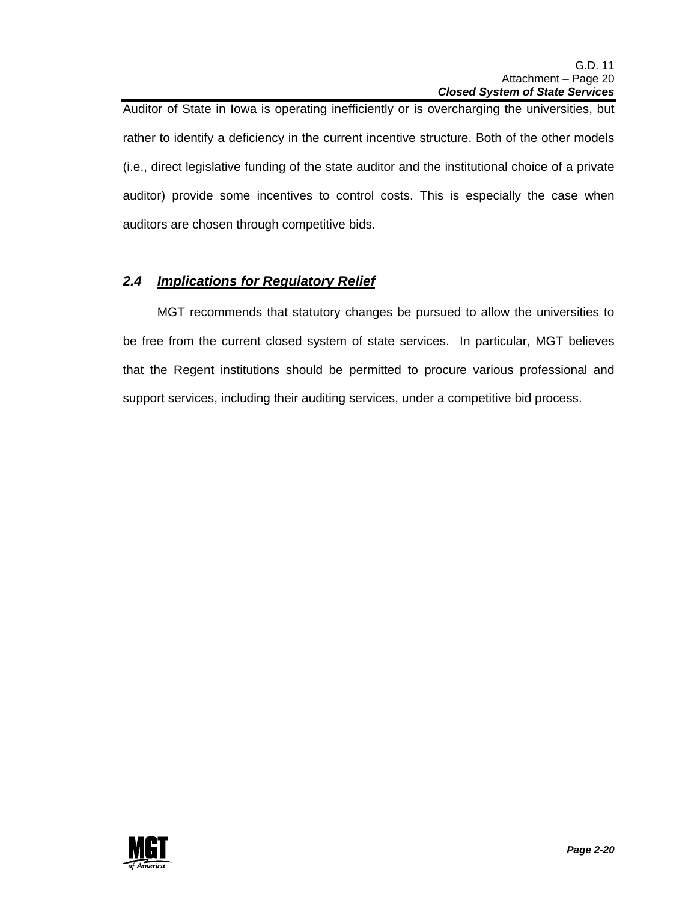Auditor of State in Iowa is operating inefficiently or is overcharging the universities, but rather to identify a deficiency in the current incentive structure. Both of the other models (i.e., direct legislative funding of the state auditor and the institutional choice of a private auditor) provide some incentives to control costs. This is especially the case when auditors are chosen through competitive bids.

### *2.4 Implications for Regulatory Relief*

 MGT recommends that statutory changes be pursued to allow the universities to be free from the current closed system of state services. In particular, MGT believes that the Regent institutions should be permitted to procure various professional and support services, including their auditing services, under a competitive bid process.

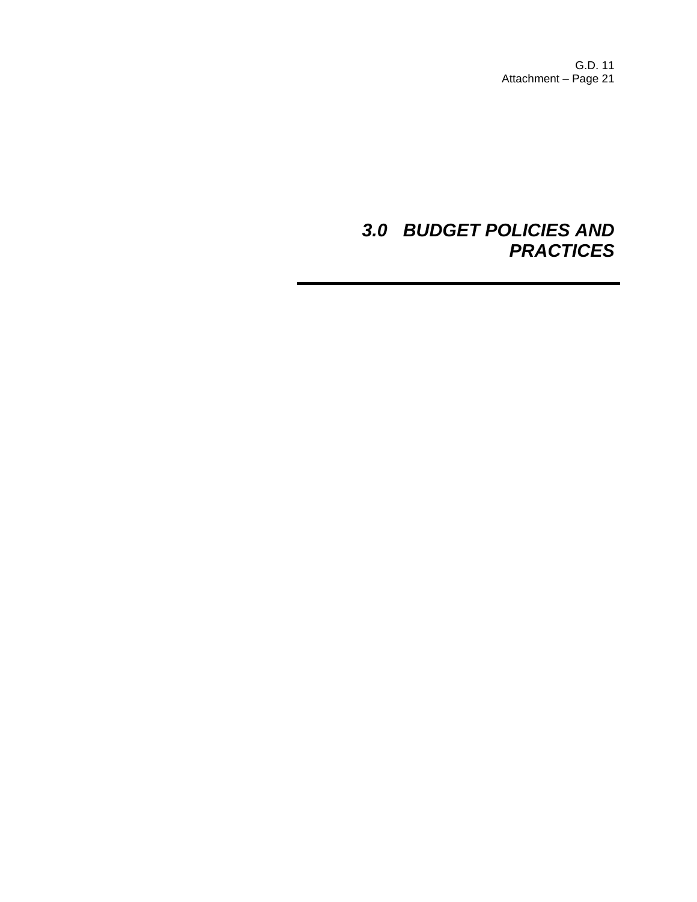G.D. 11 Attachment – Page 21

# *3.0 BUDGET POLICIES AND PRACTICES*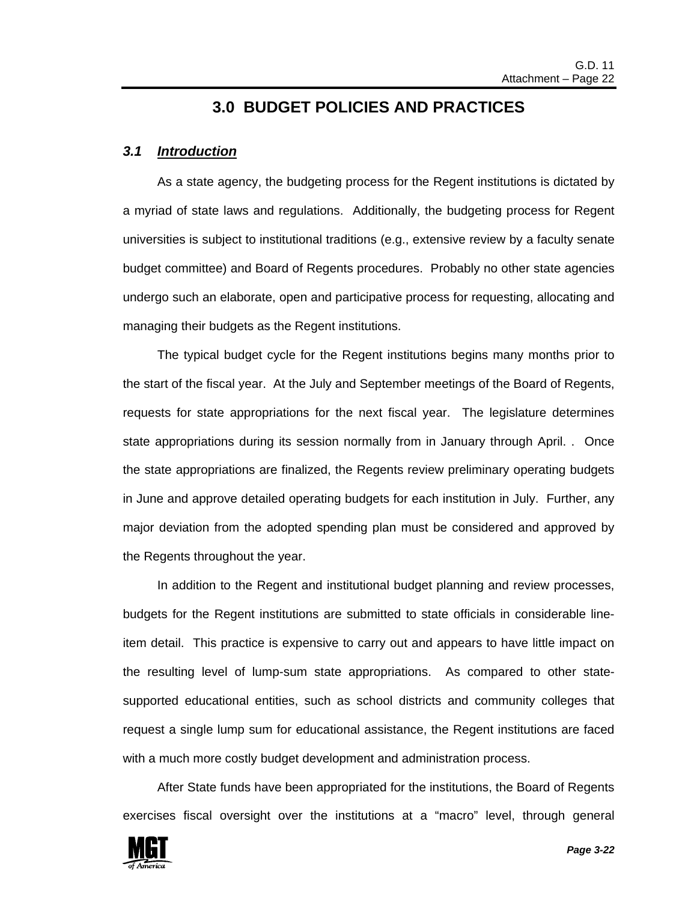### **3.0 BUDGET POLICIES AND PRACTICES**

### *3.1 Introduction*

 As a state agency, the budgeting process for the Regent institutions is dictated by a myriad of state laws and regulations. Additionally, the budgeting process for Regent universities is subject to institutional traditions (e.g., extensive review by a faculty senate budget committee) and Board of Regents procedures. Probably no other state agencies undergo such an elaborate, open and participative process for requesting, allocating and managing their budgets as the Regent institutions.

 The typical budget cycle for the Regent institutions begins many months prior to the start of the fiscal year. At the July and September meetings of the Board of Regents, requests for state appropriations for the next fiscal year. The legislature determines state appropriations during its session normally from in January through April. . Once the state appropriations are finalized, the Regents review preliminary operating budgets in June and approve detailed operating budgets for each institution in July. Further, any major deviation from the adopted spending plan must be considered and approved by the Regents throughout the year.

 In addition to the Regent and institutional budget planning and review processes, budgets for the Regent institutions are submitted to state officials in considerable lineitem detail. This practice is expensive to carry out and appears to have little impact on the resulting level of lump-sum state appropriations. As compared to other statesupported educational entities, such as school districts and community colleges that request a single lump sum for educational assistance, the Regent institutions are faced with a much more costly budget development and administration process.

 After State funds have been appropriated for the institutions, the Board of Regents exercises fiscal oversight over the institutions at a "macro" level, through general

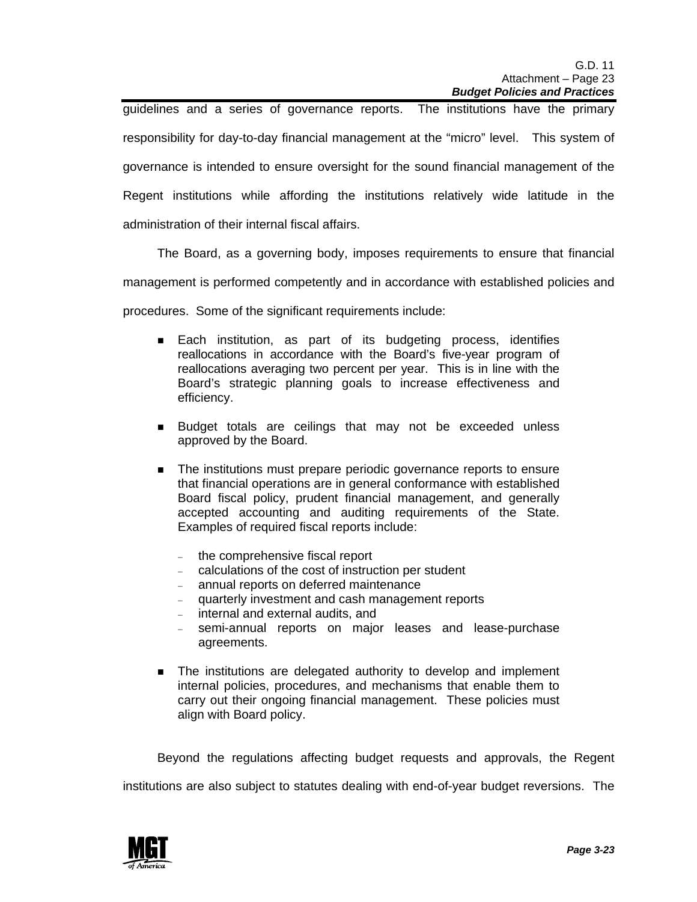guidelines and a series of governance reports. The institutions have the primary responsibility for day-to-day financial management at the "micro" level. This system of governance is intended to ensure oversight for the sound financial management of the Regent institutions while affording the institutions relatively wide latitude in the administration of their internal fiscal affairs.

The Board, as a governing body, imposes requirements to ensure that financial

management is performed competently and in accordance with established policies and

procedures. Some of the significant requirements include:

- **Each institution, as part of its budgeting process, identifies** reallocations in accordance with the Board's five-year program of reallocations averaging two percent per year. This is in line with the Board's strategic planning goals to increase effectiveness and efficiency.
- **Budget totals are ceilings that may not be exceeded unless** approved by the Board.
- **The institutions must prepare periodic governance reports to ensure** that financial operations are in general conformance with established Board fiscal policy, prudent financial management, and generally accepted accounting and auditing requirements of the State. Examples of required fiscal reports include:
	- the comprehensive fiscal report
	- − calculations of the cost of instruction per student
	- − annual reports on deferred maintenance
	- − quarterly investment and cash management reports
	- internal and external audits, and
	- − semi-annual reports on major leases and lease-purchase agreements.
- **The institutions are delegated authority to develop and implement** internal policies, procedures, and mechanisms that enable them to carry out their ongoing financial management. These policies must align with Board policy.

 Beyond the regulations affecting budget requests and approvals, the Regent institutions are also subject to statutes dealing with end-of-year budget reversions. The

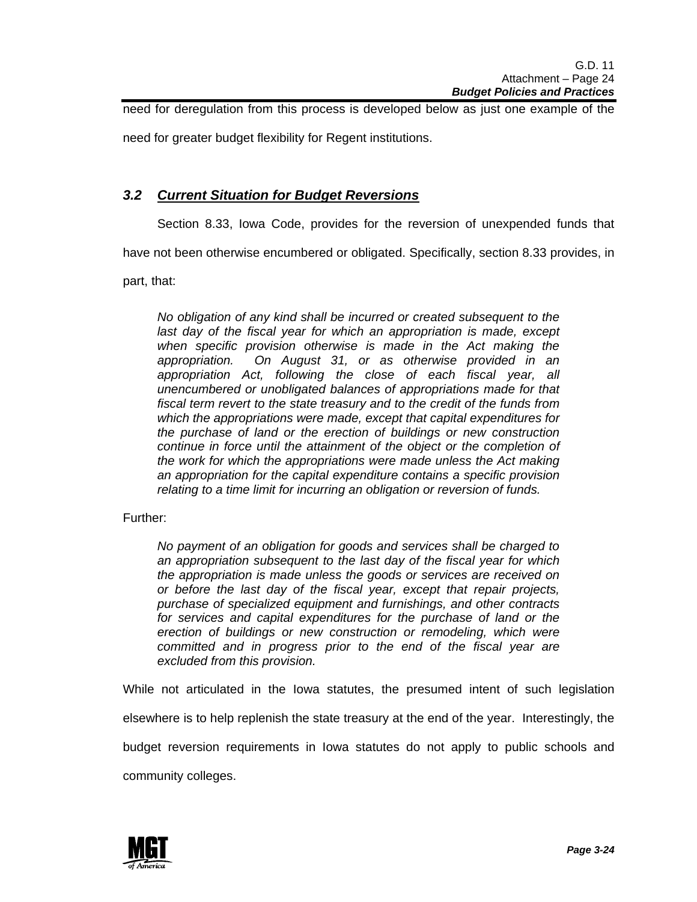need for deregulation from this process is developed below as just one example of the

need for greater budget flexibility for Regent institutions.

### *3.2 Current Situation for Budget Reversions*

Section 8.33, Iowa Code, provides for the reversion of unexpended funds that

have not been otherwise encumbered or obligated. Specifically, section 8.33 provides, in

part, that:

*No obligation of any kind shall be incurred or created subsequent to the last day of the fiscal year for which an appropriation is made, except when specific provision otherwise is made in the Act making the appropriation. On August 31, or as otherwise provided in an appropriation Act, following the close of each fiscal year, all unencumbered or unobligated balances of appropriations made for that fiscal term revert to the state treasury and to the credit of the funds from which the appropriations were made, except that capital expenditures for the purchase of land or the erection of buildings or new construction continue in force until the attainment of the object or the completion of the work for which the appropriations were made unless the Act making an appropriation for the capital expenditure contains a specific provision relating to a time limit for incurring an obligation or reversion of funds.* 

Further:

*No payment of an obligation for goods and services shall be charged to an appropriation subsequent to the last day of the fiscal year for which the appropriation is made unless the goods or services are received on or before the last day of the fiscal year, except that repair projects, purchase of specialized equipment and furnishings, and other contracts for services and capital expenditures for the purchase of land or the erection of buildings or new construction or remodeling, which were committed and in progress prior to the end of the fiscal year are excluded from this provision.* 

While not articulated in the Iowa statutes, the presumed intent of such legislation elsewhere is to help replenish the state treasury at the end of the year. Interestingly, the budget reversion requirements in Iowa statutes do not apply to public schools and community colleges.

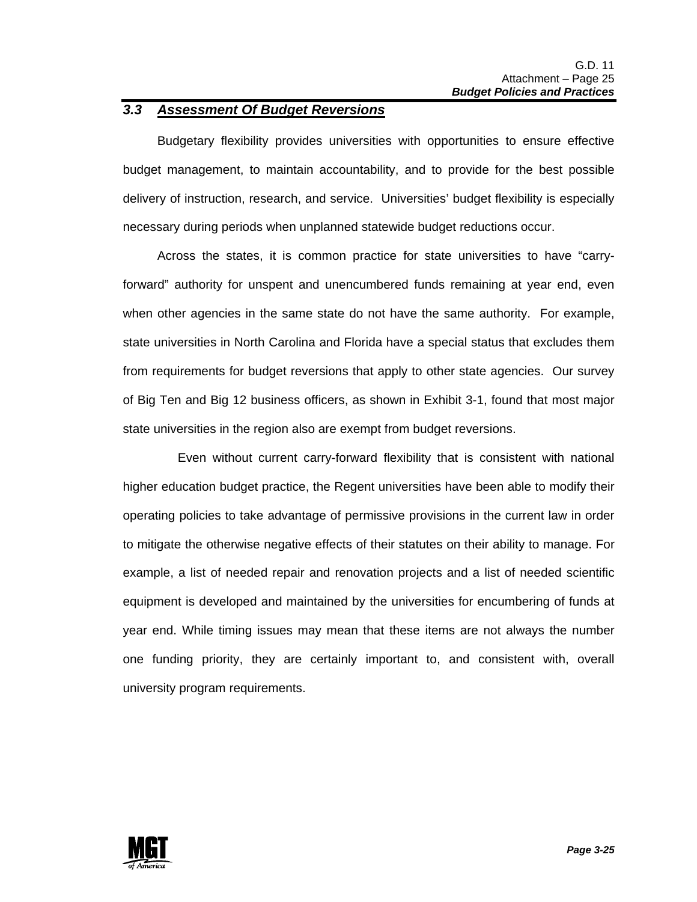### *3.3 Assessment Of Budget Reversions*

 Budgetary flexibility provides universities with opportunities to ensure effective budget management, to maintain accountability, and to provide for the best possible delivery of instruction, research, and service. Universities' budget flexibility is especially necessary during periods when unplanned statewide budget reductions occur.

 Across the states, it is common practice for state universities to have "carryforward" authority for unspent and unencumbered funds remaining at year end, even when other agencies in the same state do not have the same authority. For example, state universities in North Carolina and Florida have a special status that excludes them from requirements for budget reversions that apply to other state agencies. Our survey of Big Ten and Big 12 business officers, as shown in Exhibit 3-1, found that most major state universities in the region also are exempt from budget reversions.

 Even without current carry-forward flexibility that is consistent with national higher education budget practice, the Regent universities have been able to modify their operating policies to take advantage of permissive provisions in the current law in order to mitigate the otherwise negative effects of their statutes on their ability to manage. For example, a list of needed repair and renovation projects and a list of needed scientific equipment is developed and maintained by the universities for encumbering of funds at year end. While timing issues may mean that these items are not always the number one funding priority, they are certainly important to, and consistent with, overall university program requirements.

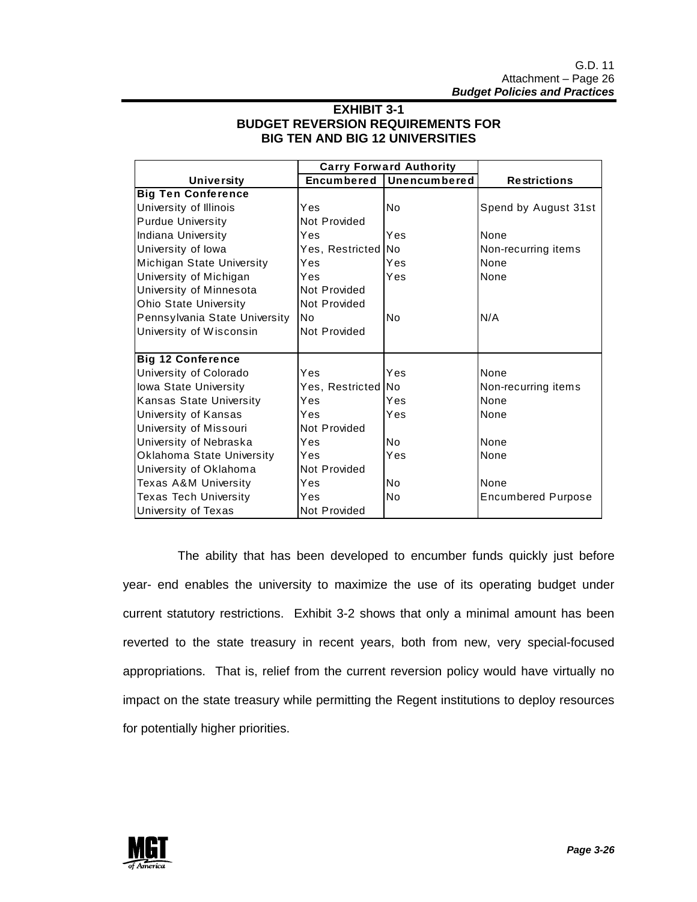### **EXHIBIT 3-1 BUDGET REVERSION REQUIREMENTS FOR BIG TEN AND BIG 12 UNIVERSITIES**

| <b>Carry Forward Authority</b>   |                    |              |                           |
|----------------------------------|--------------------|--------------|---------------------------|
| <b>University</b>                | Encumbered         | Unencumbered | <b>Restrictions</b>       |
| <b>Big Ten Conference</b>        |                    |              |                           |
| University of Illinois           | Yes                | No           | Spend by August 31st      |
| <b>Purdue University</b>         | Not Provided       |              |                           |
| Indiana University               | Yes                | Yes          | <b>None</b>               |
| University of lowa               | Yes, Restricted No |              | Non-recurring items       |
| Michigan State University        | Yes                | Yes          | None                      |
| University of Michigan           | Yes                | Yes          | None                      |
| University of Minnesota          | Not Provided       |              |                           |
| <b>Ohio State University</b>     | Not Provided       |              |                           |
| Pennsylvania State University    | lNo.               | No           | N/A                       |
| University of Wisconsin          | Not Provided       |              |                           |
|                                  |                    |              |                           |
| <b>Big 12 Conference</b>         |                    |              |                           |
| University of Colorado           | Yes                | Yes          | None                      |
| lowa State University            | Yes, Restricted No |              | Non-recurring items       |
| <b>Kansas State University</b>   | Yes                | Yes          | None                      |
| University of Kansas             | Yes                | Yes          | None                      |
| University of Missouri           | Not Provided       |              |                           |
| University of Nebraska           | Yes                | No.          | None                      |
| <b>Oklahoma State University</b> | Yes                | Yes          | None                      |
| University of Oklahoma           | Not Provided       |              |                           |
| Texas A&M University             | Yes                | Nο           | <b>None</b>               |
| <b>Texas Tech University</b>     | Yes                | No           | <b>Encumbered Purpose</b> |
| University of Texas              | Not Provided       |              |                           |

 The ability that has been developed to encumber funds quickly just before year- end enables the university to maximize the use of its operating budget under current statutory restrictions. Exhibit 3-2 shows that only a minimal amount has been reverted to the state treasury in recent years, both from new, very special-focused appropriations. That is, relief from the current reversion policy would have virtually no impact on the state treasury while permitting the Regent institutions to deploy resources for potentially higher priorities.

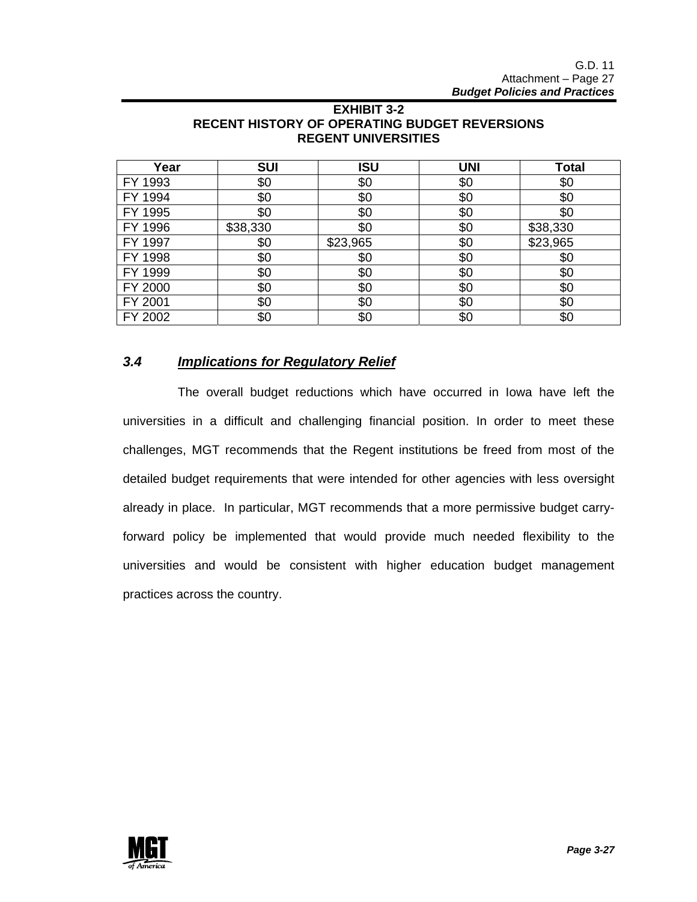| Year    | <b>SUI</b> | <b>ISU</b> | <b>UNI</b> | <b>Total</b> |
|---------|------------|------------|------------|--------------|
| FY 1993 | \$0        | \$0        | \$0        | \$0          |
| FY 1994 | \$0        | \$0        | \$0        | \$0          |
| FY 1995 | \$0        | \$0        | \$0        | \$0          |
| FY 1996 | \$38,330   | \$0        | \$0        | \$38,330     |
| FY 1997 | \$0        | \$23,965   | \$0        | \$23,965     |
| FY 1998 | \$0        | \$0        | \$0        | \$0          |
| FY 1999 | \$0        | \$0        | \$0        | \$0          |
| FY 2000 | \$0        | \$0        | \$0        | \$0          |
| FY 2001 | \$0        | \$0        | \$0        | \$0          |
| FY 2002 | \$0        | \$0        | \$0        | \$0          |

### **EXHIBIT 3-2 RECENT HISTORY OF OPERATING BUDGET REVERSIONS REGENT UNIVERSITIES**

### *3.4 Implications for Regulatory Relief*

 The overall budget reductions which have occurred in Iowa have left the universities in a difficult and challenging financial position. In order to meet these challenges, MGT recommends that the Regent institutions be freed from most of the detailed budget requirements that were intended for other agencies with less oversight already in place. In particular, MGT recommends that a more permissive budget carryforward policy be implemented that would provide much needed flexibility to the universities and would be consistent with higher education budget management practices across the country.

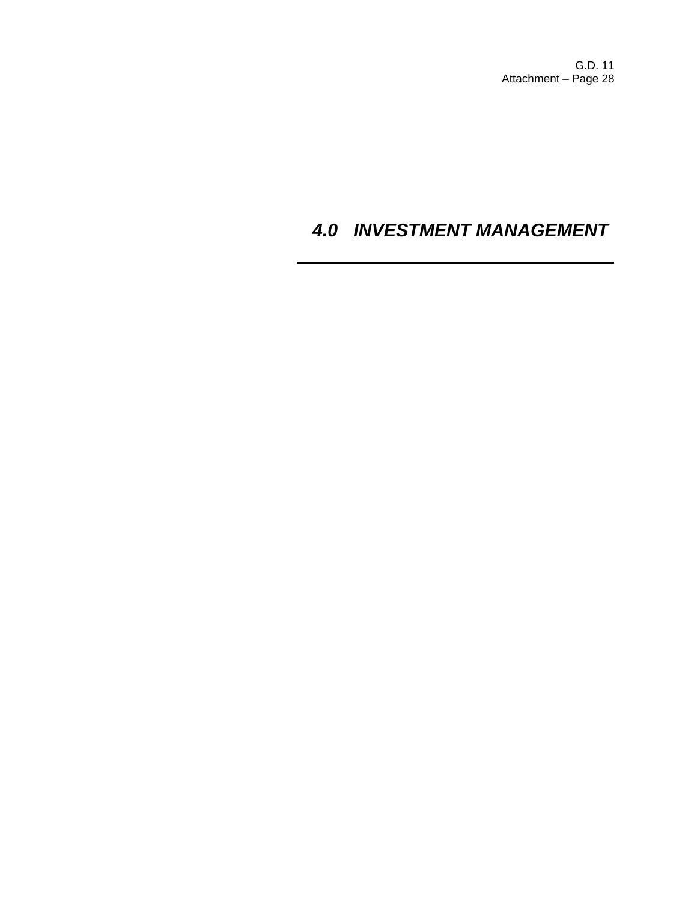G.D. 11 Attachment – Page 28

# *4.0 INVESTMENT MANAGEMENT*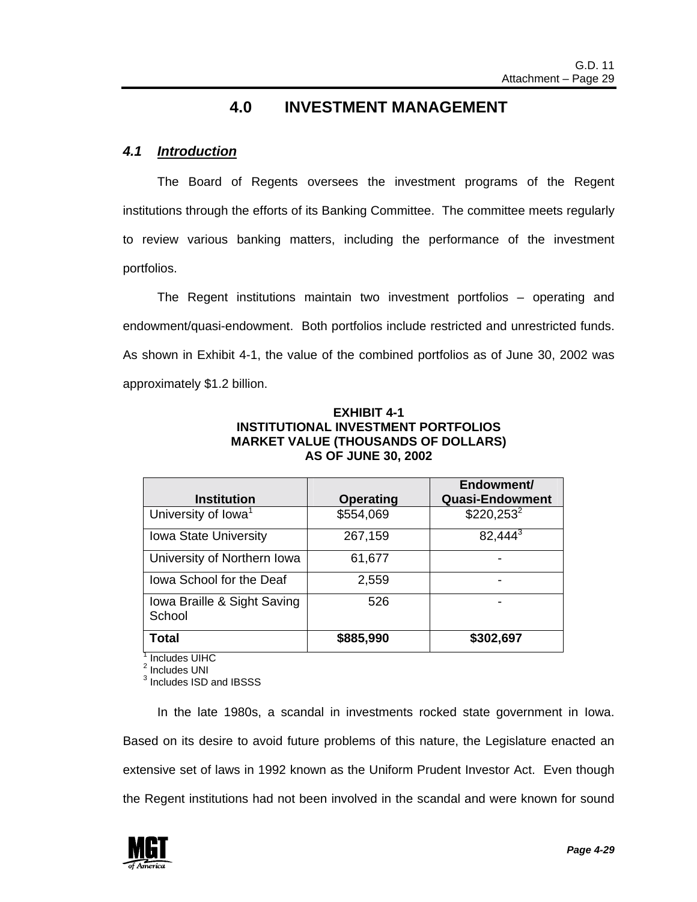# **4.0 INVESTMENT MANAGEMENT**

### *4.1 Introduction*

 The Board of Regents oversees the investment programs of the Regent institutions through the efforts of its Banking Committee. The committee meets regularly to review various banking matters, including the performance of the investment portfolios.

 The Regent institutions maintain two investment portfolios – operating and endowment/quasi-endowment. Both portfolios include restricted and unrestricted funds. As shown in Exhibit 4-1, the value of the combined portfolios as of June 30, 2002 was approximately \$1.2 billion.

| EXHIBIT 4-1                                |  |  |  |  |  |
|--------------------------------------------|--|--|--|--|--|
| INSTITUTIONAL INVESTMENT PORTFOLIOS        |  |  |  |  |  |
| <b>MARKET VALUE (THOUSANDS OF DOLLARS)</b> |  |  |  |  |  |
| <b>AS OF JUNE 30, 2002</b>                 |  |  |  |  |  |

| <b>Institution</b>                    | <b>Operating</b> | Endowment/<br><b>Quasi-Endowment</b> |
|---------------------------------------|------------------|--------------------------------------|
| University of Iowa <sup>1</sup>       | \$554,069        | $$220,253^2$                         |
| <b>Iowa State University</b>          | 267,159          | 82,444 <sup>3</sup>                  |
| University of Northern Iowa           | 61,677           |                                      |
| lowa School for the Deaf              | 2,559            |                                      |
| Iowa Braille & Sight Saving<br>School | 526              |                                      |
| Total                                 | \$885,990        | \$302,697                            |

<sup>1</sup> Includes UIHC

<sup>2</sup> Includes UNI

<sup>3</sup> Includes ISD and IBSSS

 In the late 1980s, a scandal in investments rocked state government in Iowa. Based on its desire to avoid future problems of this nature, the Legislature enacted an extensive set of laws in 1992 known as the Uniform Prudent Investor Act. Even though the Regent institutions had not been involved in the scandal and were known for sound

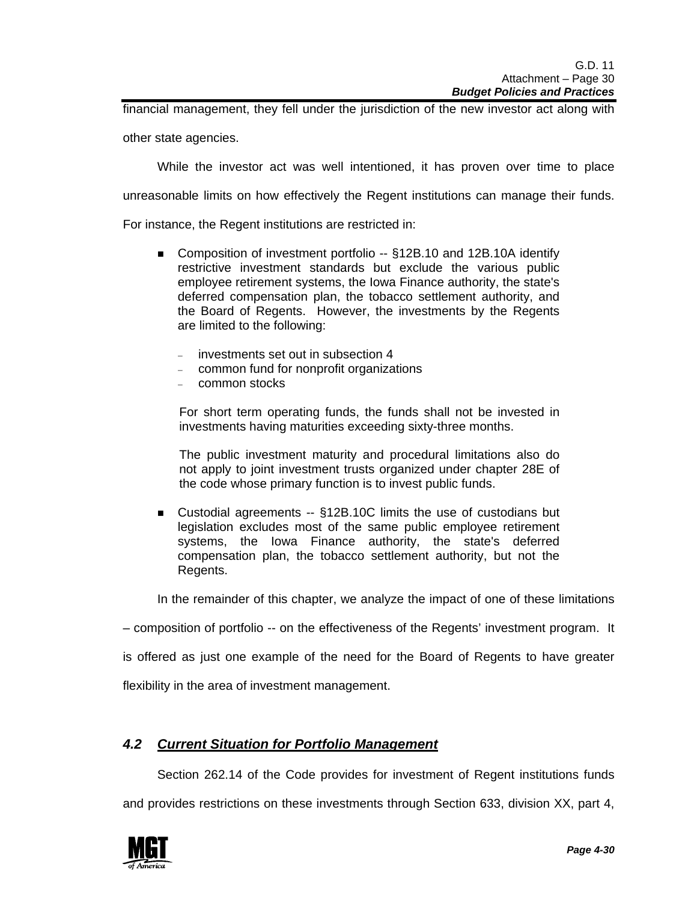financial management, they fell under the jurisdiction of the new investor act along with

other state agencies.

While the investor act was well intentioned, it has proven over time to place

unreasonable limits on how effectively the Regent institutions can manage their funds.

For instance, the Regent institutions are restricted in:

- Composition of investment portfolio -- §12B.10 and 12B.10A identify restrictive investment standards but exclude the various public employee retirement systems, the Iowa Finance authority, the state's deferred compensation plan, the tobacco settlement authority, and the Board of Regents. However, the investments by the Regents are limited to the following:
	- − investments set out in subsection 4
	- − common fund for nonprofit organizations
	- − common stocks

For short term operating funds, the funds shall not be invested in investments having maturities exceeding sixty-three months.

The public investment maturity and procedural limitations also do not apply to joint investment trusts organized under chapter 28E of the code whose primary function is to invest public funds.

■ Custodial agreements -- §12B.10C limits the use of custodians but legislation excludes most of the same public employee retirement systems, the Iowa Finance authority, the state's deferred compensation plan, the tobacco settlement authority, but not the Regents.

In the remainder of this chapter, we analyze the impact of one of these limitations

– composition of portfolio -- on the effectiveness of the Regents' investment program. It

is offered as just one example of the need for the Board of Regents to have greater

flexibility in the area of investment management.

### *4.2 Current Situation for Portfolio Management*

Section 262.14 of the Code provides for investment of Regent institutions funds

and provides restrictions on these investments through Section 633, division XX, part 4,

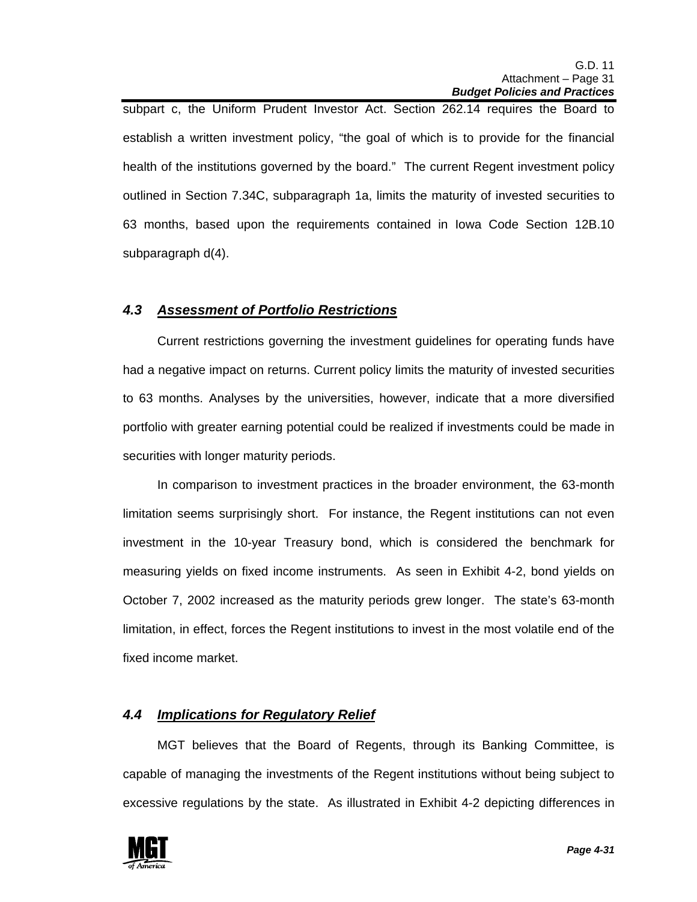subpart c, the Uniform Prudent Investor Act. Section 262.14 requires the Board to establish a written investment policy, "the goal of which is to provide for the financial health of the institutions governed by the board." The current Regent investment policy outlined in Section 7.34C, subparagraph 1a, limits the maturity of invested securities to 63 months, based upon the requirements contained in Iowa Code Section 12B.10 subparagraph d(4).

### *4.3 Assessment of Portfolio Restrictions*

 Current restrictions governing the investment guidelines for operating funds have had a negative impact on returns. Current policy limits the maturity of invested securities to 63 months. Analyses by the universities, however, indicate that a more diversified portfolio with greater earning potential could be realized if investments could be made in securities with longer maturity periods.

 In comparison to investment practices in the broader environment, the 63-month limitation seems surprisingly short. For instance, the Regent institutions can not even investment in the 10-year Treasury bond, which is considered the benchmark for measuring yields on fixed income instruments. As seen in Exhibit 4-2, bond yields on October 7, 2002 increased as the maturity periods grew longer. The state's 63-month limitation, in effect, forces the Regent institutions to invest in the most volatile end of the fixed income market.

### *4.4 Implications for Regulatory Relief*

 MGT believes that the Board of Regents, through its Banking Committee, is capable of managing the investments of the Regent institutions without being subject to excessive regulations by the state. As illustrated in Exhibit 4-2 depicting differences in

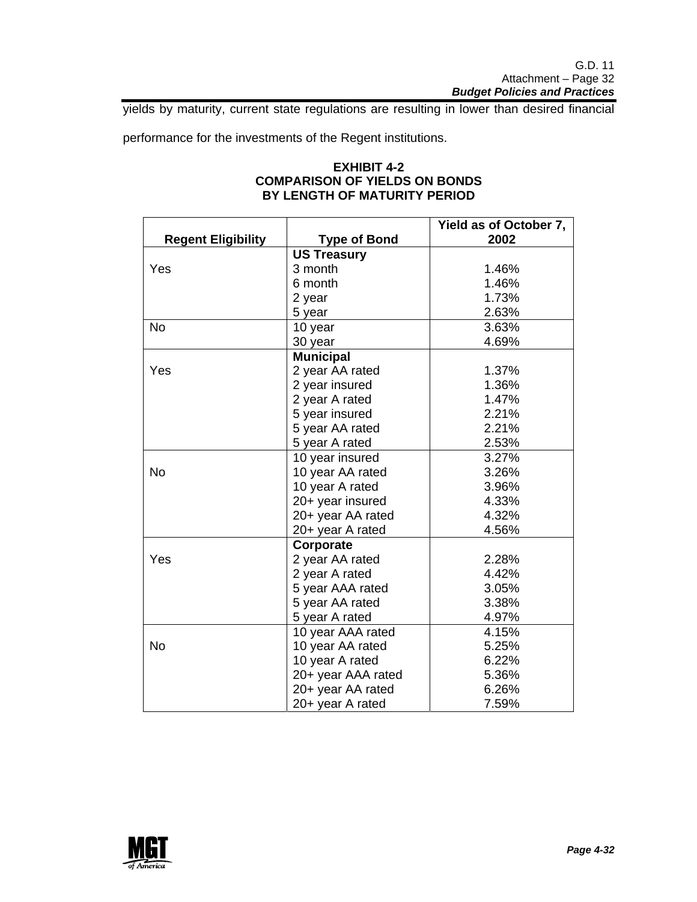yields by maturity, current state regulations are resulting in lower than desired financial

performance for the investments of the Regent institutions.

### **EXHIBIT 4-2 COMPARISON OF YIELDS ON BONDS BY LENGTH OF MATURITY PERIOD**

|                           |                     | Yield as of October 7, |
|---------------------------|---------------------|------------------------|
| <b>Regent Eligibility</b> | <b>Type of Bond</b> | 2002                   |
|                           | <b>US Treasury</b>  |                        |
| Yes                       | 3 month             | 1.46%                  |
|                           | 6 month             | 1.46%                  |
|                           | 2 year              | 1.73%                  |
|                           | 5 year              | 2.63%                  |
| <b>No</b>                 | 10 year             | 3.63%                  |
|                           | 30 year             | 4.69%                  |
|                           | <b>Municipal</b>    |                        |
| Yes                       | 2 year AA rated     | 1.37%                  |
|                           | 2 year insured      | 1.36%                  |
|                           | 2 year A rated      | 1.47%                  |
|                           | 5 year insured      | 2.21%                  |
|                           | 5 year AA rated     | 2.21%                  |
|                           | 5 year A rated      | 2.53%                  |
|                           | 10 year insured     | 3.27%                  |
| <b>No</b>                 | 10 year AA rated    | 3.26%                  |
|                           | 10 year A rated     | 3.96%                  |
|                           | 20+ year insured    | 4.33%                  |
|                           | 20+ year AA rated   | 4.32%                  |
|                           | 20+ year A rated    | 4.56%                  |
|                           | Corporate           |                        |
| Yes                       | 2 year AA rated     | 2.28%                  |
|                           | 2 year A rated      | 4.42%                  |
|                           | 5 year AAA rated    | 3.05%                  |
|                           | 5 year AA rated     | 3.38%                  |
|                           | 5 year A rated      | 4.97%                  |
|                           | 10 year AAA rated   | 4.15%                  |
| <b>No</b>                 | 10 year AA rated    | 5.25%                  |
|                           | 10 year A rated     | 6.22%                  |
|                           | 20+ year AAA rated  | 5.36%                  |
|                           | 20+ year AA rated   | 6.26%                  |
|                           | 20+ year A rated    | 7.59%                  |

![](_page_31_Picture_5.jpeg)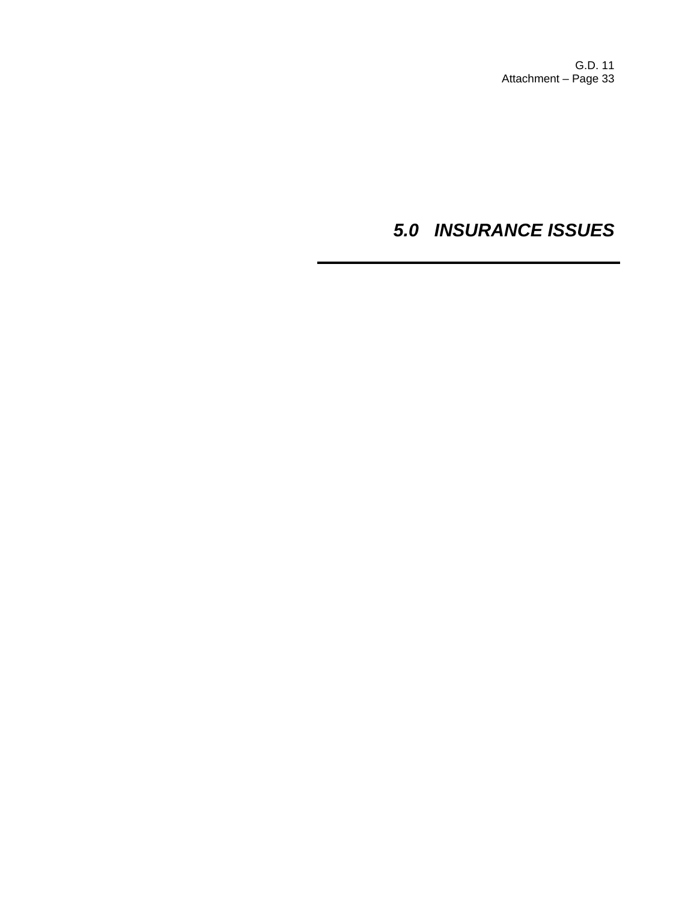G.D. 11 Attachment – Page 33

# *5.0 INSURANCE ISSUES*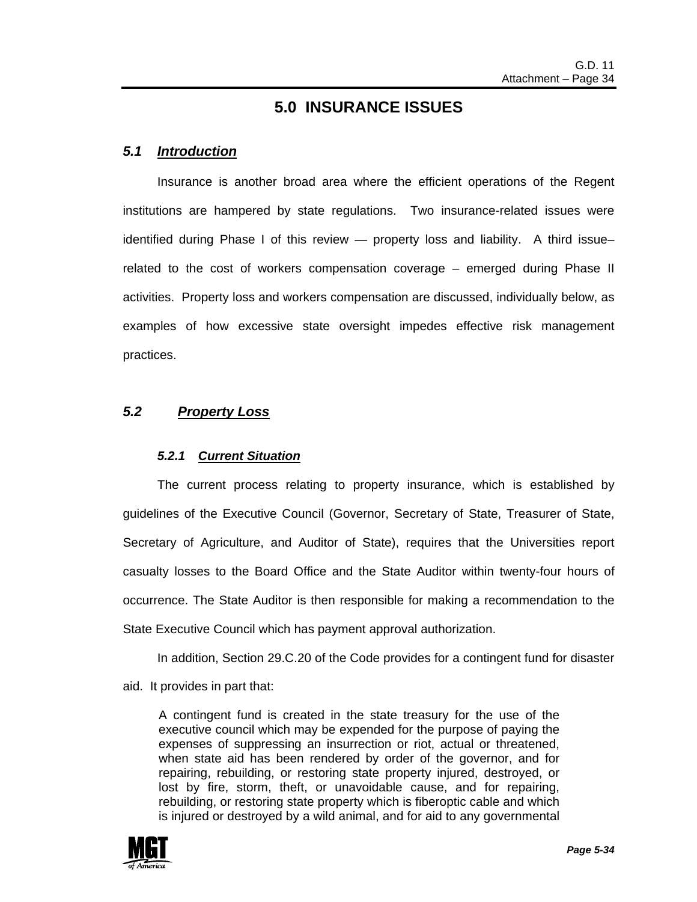### **5.0 INSURANCE ISSUES**

### *5.1 Introduction*

 Insurance is another broad area where the efficient operations of the Regent institutions are hampered by state regulations. Two insurance-related issues were identified during Phase I of this review — property loss and liability. A third issue– related to the cost of workers compensation coverage – emerged during Phase II activities. Property loss and workers compensation are discussed, individually below, as examples of how excessive state oversight impedes effective risk management practices.

### *5.2 Property Loss*

### *5.2.1 Current Situation*

 The current process relating to property insurance, which is established by guidelines of the Executive Council (Governor, Secretary of State, Treasurer of State, Secretary of Agriculture, and Auditor of State), requires that the Universities report casualty losses to the Board Office and the State Auditor within twenty-four hours of occurrence. The State Auditor is then responsible for making a recommendation to the State Executive Council which has payment approval authorization.

In addition, Section 29.C.20 of the Code provides for a contingent fund for disaster

aid. It provides in part that:

A contingent fund is created in the state treasury for the use of the executive council which may be expended for the purpose of paying the expenses of suppressing an insurrection or riot, actual or threatened, when state aid has been rendered by order of the governor, and for repairing, rebuilding, or restoring state property injured, destroyed, or lost by fire, storm, theft, or unavoidable cause, and for repairing, rebuilding, or restoring state property which is fiberoptic cable and which is injured or destroyed by a wild animal, and for aid to any governmental

![](_page_33_Picture_10.jpeg)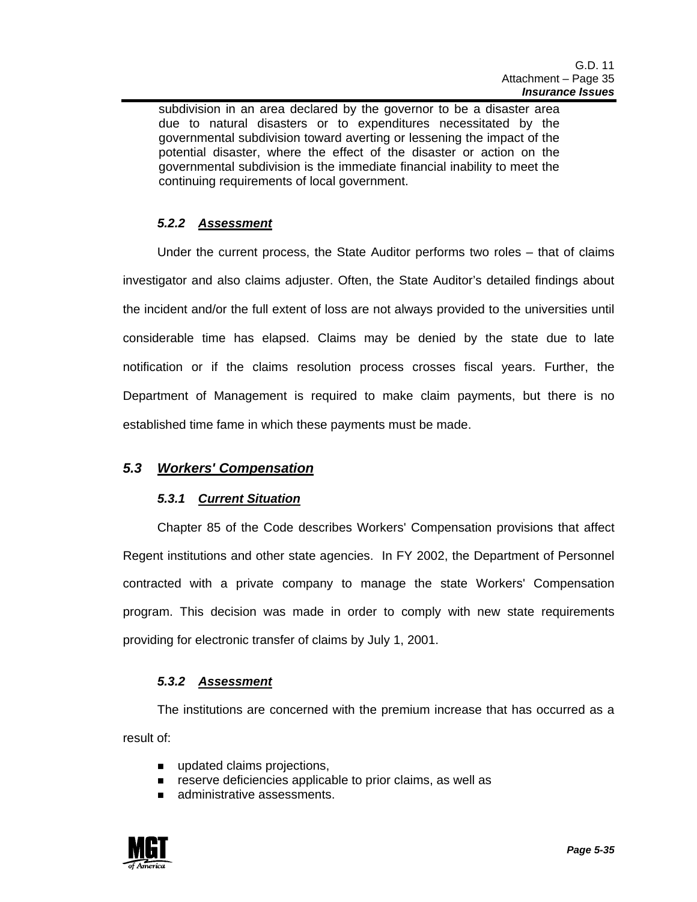subdivision in an area declared by the governor to be a disaster area due to natural disasters or to expenditures necessitated by the governmental subdivision toward averting or lessening the impact of the potential disaster, where the effect of the disaster or action on the governmental subdivision is the immediate financial inability to meet the continuing requirements of local government.

### *5.2.2 Assessment*

 Under the current process, the State Auditor performs two roles – that of claims investigator and also claims adjuster. Often, the State Auditor's detailed findings about the incident and/or the full extent of loss are not always provided to the universities until considerable time has elapsed. Claims may be denied by the state due to late notification or if the claims resolution process crosses fiscal years. Further, the Department of Management is required to make claim payments, but there is no established time fame in which these payments must be made.

### *5.3 Workers' Compensation*

### *5.3.1 Current Situation*

 Chapter 85 of the Code describes Workers' Compensation provisions that affect Regent institutions and other state agencies. In FY 2002, the Department of Personnel contracted with a private company to manage the state Workers' Compensation program. This decision was made in order to comply with new state requirements providing for electronic transfer of claims by July 1, 2001.

### *5.3.2 Assessment*

 The institutions are concerned with the premium increase that has occurred as a result of:

- updated claims projections,
- **EXECTE 20** reserve deficiencies applicable to prior claims, as well as
- **E.** administrative assessments.

![](_page_34_Picture_12.jpeg)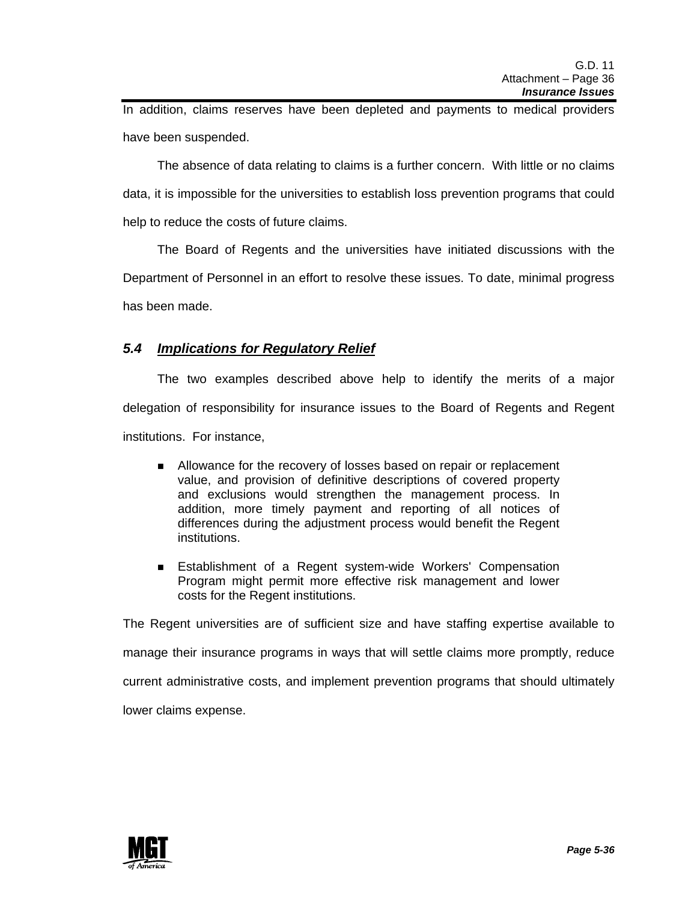In addition, claims reserves have been depleted and payments to medical providers have been suspended.

 The absence of data relating to claims is a further concern. With little or no claims data, it is impossible for the universities to establish loss prevention programs that could help to reduce the costs of future claims.

 The Board of Regents and the universities have initiated discussions with the Department of Personnel in an effort to resolve these issues. To date, minimal progress has been made.

### *5.4 Implications for Regulatory Relief*

 The two examples described above help to identify the merits of a major delegation of responsibility for insurance issues to the Board of Regents and Regent institutions. For instance,

- **I** Allowance for the recovery of losses based on repair or replacement value, and provision of definitive descriptions of covered property and exclusions would strengthen the management process. In addition, more timely payment and reporting of all notices of differences during the adjustment process would benefit the Regent institutions.
- **E** Establishment of a Regent system-wide Workers' Compensation Program might permit more effective risk management and lower costs for the Regent institutions.

The Regent universities are of sufficient size and have staffing expertise available to manage their insurance programs in ways that will settle claims more promptly, reduce current administrative costs, and implement prevention programs that should ultimately lower claims expense.

![](_page_35_Picture_9.jpeg)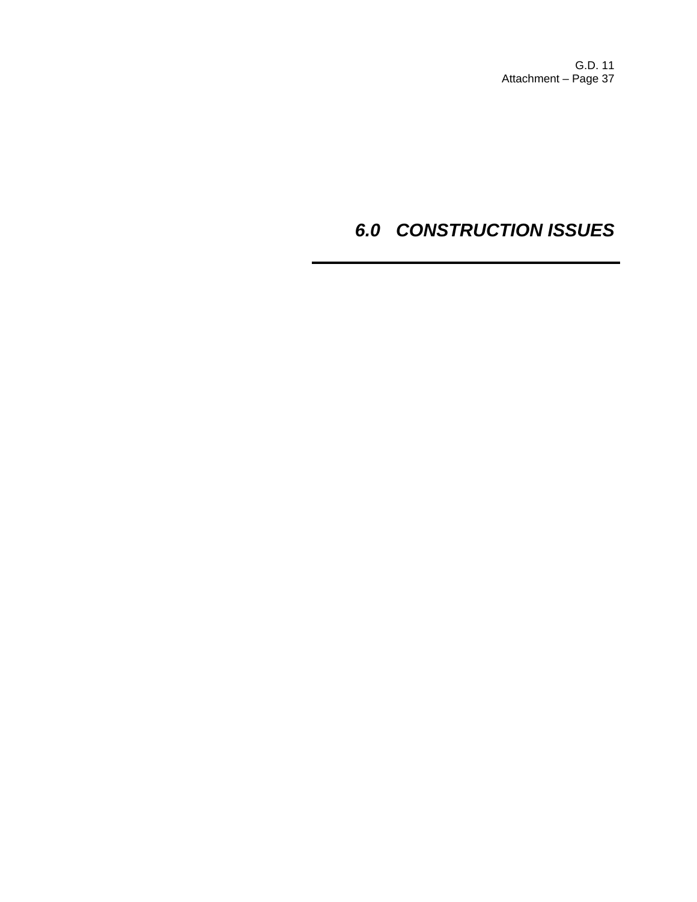G.D. 11 Attachment – Page 37

# *6.0 CONSTRUCTION ISSUES*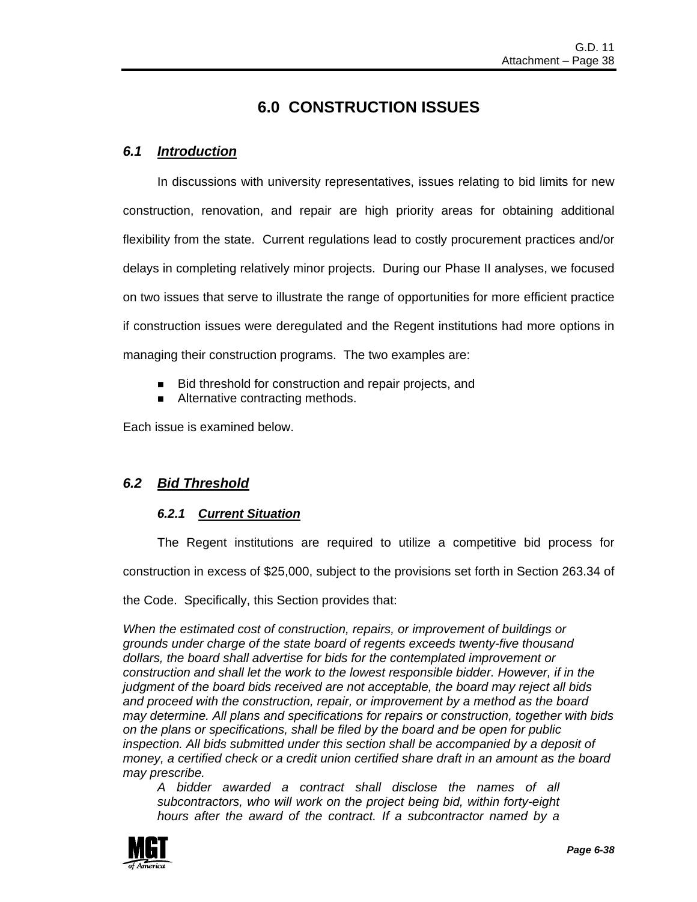## **6.0 CONSTRUCTION ISSUES**

### *6.1 Introduction*

 In discussions with university representatives, issues relating to bid limits for new construction, renovation, and repair are high priority areas for obtaining additional flexibility from the state. Current regulations lead to costly procurement practices and/or delays in completing relatively minor projects. During our Phase II analyses, we focused on two issues that serve to illustrate the range of opportunities for more efficient practice if construction issues were deregulated and the Regent institutions had more options in managing their construction programs. The two examples are:

- Bid threshold for construction and repair projects, and
- Alternative contracting methods.

Each issue is examined below.

### *6.2 Bid Threshold*

### *6.2.1 Current Situation*

The Regent institutions are required to utilize a competitive bid process for

construction in excess of \$25,000, subject to the provisions set forth in Section 263.34 of

the Code. Specifically, this Section provides that:

*When the estimated cost of construction, repairs, or improvement of buildings or grounds under charge of the state board of regents exceeds twenty-five thousand dollars, the board shall advertise for bids for the contemplated improvement or construction and shall let the work to the lowest responsible bidder. However, if in the judgment of the board bids received are not acceptable, the board may reject all bids and proceed with the construction, repair, or improvement by a method as the board may determine. All plans and specifications for repairs or construction, together with bids on the plans or specifications, shall be filed by the board and be open for public inspection. All bids submitted under this section shall be accompanied by a deposit of money, a certified check or a credit union certified share draft in an amount as the board may prescribe.* 

*A bidder awarded a contract shall disclose the names of all subcontractors, who will work on the project being bid, within forty-eight hours after the award of the contract. If a subcontractor named by a* 

![](_page_37_Picture_14.jpeg)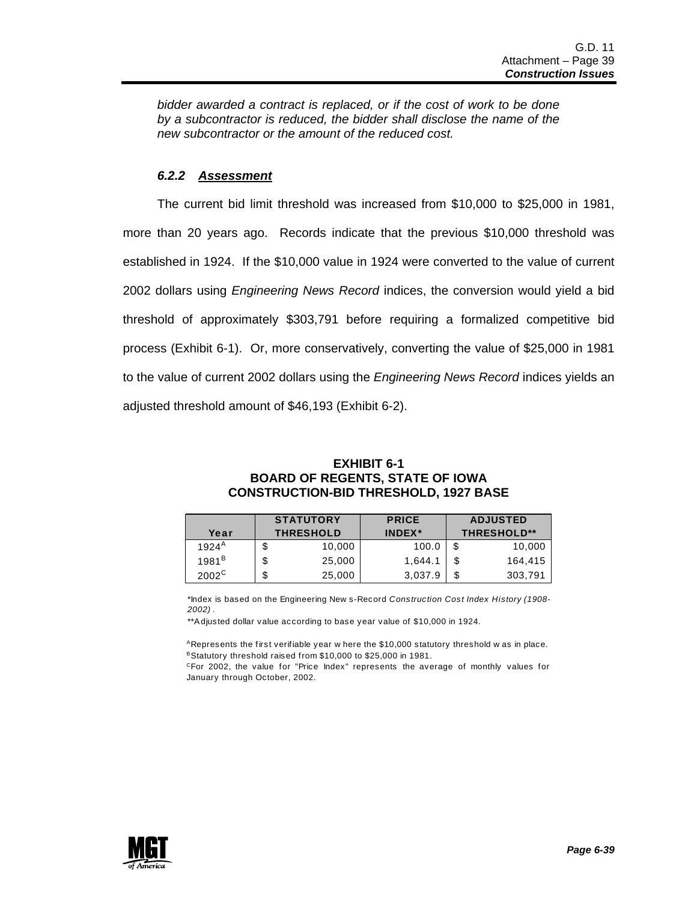*bidder awarded a contract is replaced, or if the cost of work to be done by a subcontractor is reduced, the bidder shall disclose the name of the new subcontractor or the amount of the reduced cost.* 

### *6.2.2 Assessment*

 The current bid limit threshold was increased from \$10,000 to \$25,000 in 1981, more than 20 years ago. Records indicate that the previous \$10,000 threshold was established in 1924. If the \$10,000 value in 1924 were converted to the value of current 2002 dollars using *Engineering News Record* indices, the conversion would yield a bid threshold of approximately \$303,791 before requiring a formalized competitive bid process (Exhibit 6-1). Or, more conservatively, converting the value of \$25,000 in 1981 to the value of current 2002 dollars using the *Engineering News Record* indices yields an adjusted threshold amount of \$46,193 (Exhibit 6-2).

### **EXHIBIT 6-1 BOARD OF REGENTS, STATE OF IOWA CONSTRUCTION-BID THRESHOLD, 1927 BASE**

|                | <b>STATUTORY</b> | <b>PRICE</b> |   | <b>ADJUSTED</b>    |
|----------------|------------------|--------------|---|--------------------|
| Year           | <b>THRESHOLD</b> | INDEX*       |   | <b>THRESHOLD**</b> |
| $1924^{A}$     | \$<br>10,000     | 100.0        |   | 10.000             |
| $1981^B$       | \$<br>25,000     | 1,644.1      |   | 164.415            |
| $2002^{\circ}$ | \$<br>25,000     | 3,037.9      | S | 303,791            |

\*Index is based on the Engineering New s-Record *Construction Cost Index History (1908- 2002)* .

\*\*A djusted dollar value according to base year value of \$10,000 in 1924.

ARepresents the first verifiable year w here the \$10,000 statutory threshold w as in place. BStatutory threshold raised from \$10,000 to \$25,000 in 1981.

CFor 2002, the value for "Price Index" represents the average of monthly values for January through October, 2002.

![](_page_38_Picture_10.jpeg)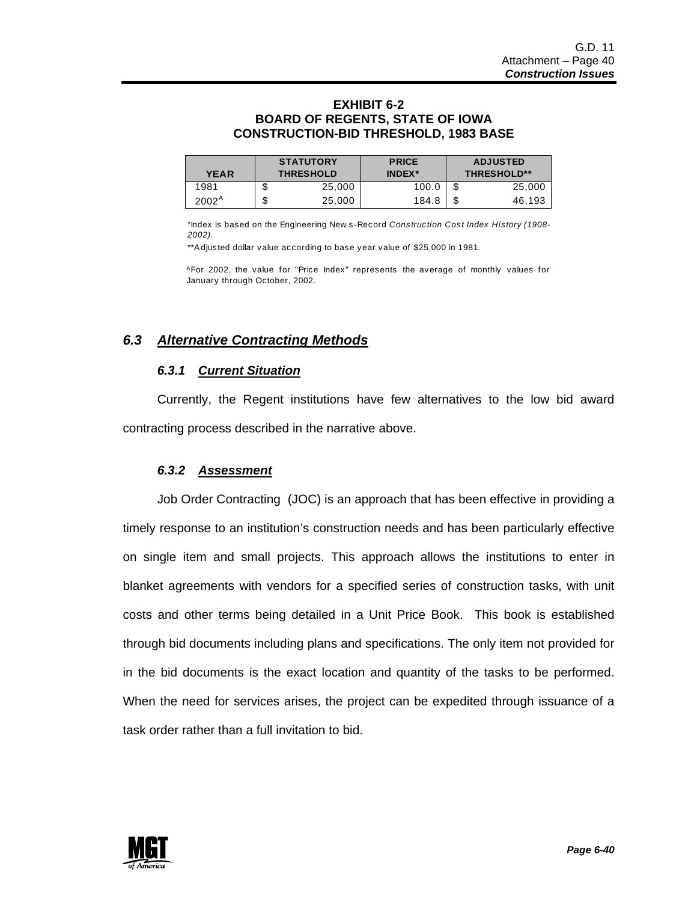### **EXHIBIT 6-2 BOARD OF REGENTS, STATE OF IOWA CONSTRUCTION-BID THRESHOLD, 1983 BASE**

| <b>YEAR</b> | <b>STATUTORY</b><br><b>THRESHOLD</b> |        | <b>PRICE</b><br><b>INDEX</b> * |  | <b>ADJUSTED</b><br><b>THRESHOLD**</b> |  |
|-------------|--------------------------------------|--------|--------------------------------|--|---------------------------------------|--|
| 1981        | J                                    | 25,000 | 100.0                          |  | 25,000                                |  |
| $2002^A$    | ╓<br>J                               | 25,000 | 184.8                          |  | 46,193                                |  |

\*Index is based on the Engineering New s-Record *Construction Cost Index History (1908- 2002).*

\*\*A djusted dollar value according to base year value of \$25,000 in 1981.

AFor 2002, the value for "Price Index" represents the average of monthly values for January through October, 2002.

### *6.3 Alternative Contracting Methods*

### *6.3.1 Current Situation*

Currently, the Regent institutions have few alternatives to the low bid award contracting process described in the narrative above.

### *6.3.2 Assessment*

 Job Order Contracting (JOC) is an approach that has been effective in providing a timely response to an institution's construction needs and has been particularly effective on single item and small projects. This approach allows the institutions to enter in blanket agreements with vendors for a specified series of construction tasks, with unit costs and other terms being detailed in a Unit Price Book. This book is established through bid documents including plans and specifications. The only item not provided for in the bid documents is the exact location and quantity of the tasks to be performed. When the need for services arises, the project can be expedited through issuance of a task order rather than a full invitation to bid.

![](_page_39_Picture_11.jpeg)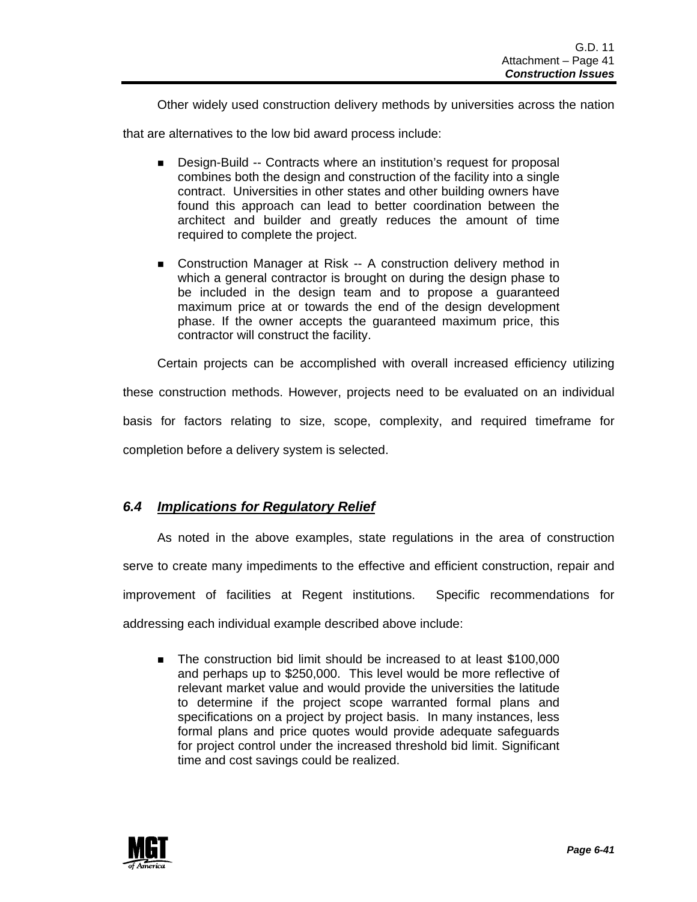Other widely used construction delivery methods by universities across the nation

that are alternatives to the low bid award process include:

- **.** Design-Build -- Contracts where an institution's request for proposal combines both the design and construction of the facility into a single contract. Universities in other states and other building owners have found this approach can lead to better coordination between the architect and builder and greatly reduces the amount of time required to complete the project.
- **EXECONSTREED EXECONSTREED EXECONSTREED EXECONSTREED EXECONSTREED EXECONSTREED EXECONSTREED EXECONSTREED EXECONSTREED EXECONSTREED EXECONSTREED EXECONSTREED EXECONSTREED EXECONSTREED EXECONSTREED EXECONSTREED EXECONSTREED** which a general contractor is brought on during the design phase to be included in the design team and to propose a guaranteed maximum price at or towards the end of the design development phase. If the owner accepts the guaranteed maximum price, this contractor will construct the facility.

Certain projects can be accomplished with overall increased efficiency utilizing

these construction methods. However, projects need to be evaluated on an individual basis for factors relating to size, scope, complexity, and required timeframe for

completion before a delivery system is selected.

### *6.4 Implications for Regulatory Relief*

 As noted in the above examples, state regulations in the area of construction serve to create many impediments to the effective and efficient construction, repair and improvement of facilities at Regent institutions. Specific recommendations for addressing each individual example described above include:

**The construction bid limit should be increased to at least \$100,000** and perhaps up to \$250,000. This level would be more reflective of relevant market value and would provide the universities the latitude to determine if the project scope warranted formal plans and specifications on a project by project basis. In many instances, less formal plans and price quotes would provide adequate safeguards for project control under the increased threshold bid limit. Significant time and cost savings could be realized.

![](_page_40_Picture_11.jpeg)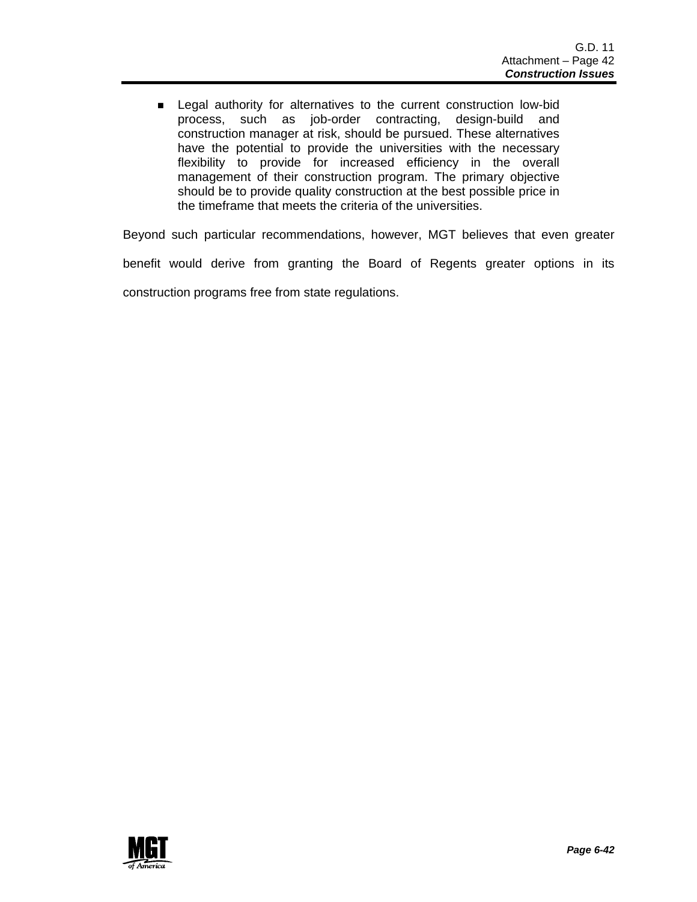**EXECTE 2018** Legal authority for alternatives to the current construction low-bid process, such as job-order contracting, design-build and construction manager at risk, should be pursued. These alternatives have the potential to provide the universities with the necessary flexibility to provide for increased efficiency in the overall management of their construction program. The primary objective should be to provide quality construction at the best possible price in the timeframe that meets the criteria of the universities.

Beyond such particular recommendations, however, MGT believes that even greater

benefit would derive from granting the Board of Regents greater options in its

construction programs free from state regulations.

![](_page_41_Picture_5.jpeg)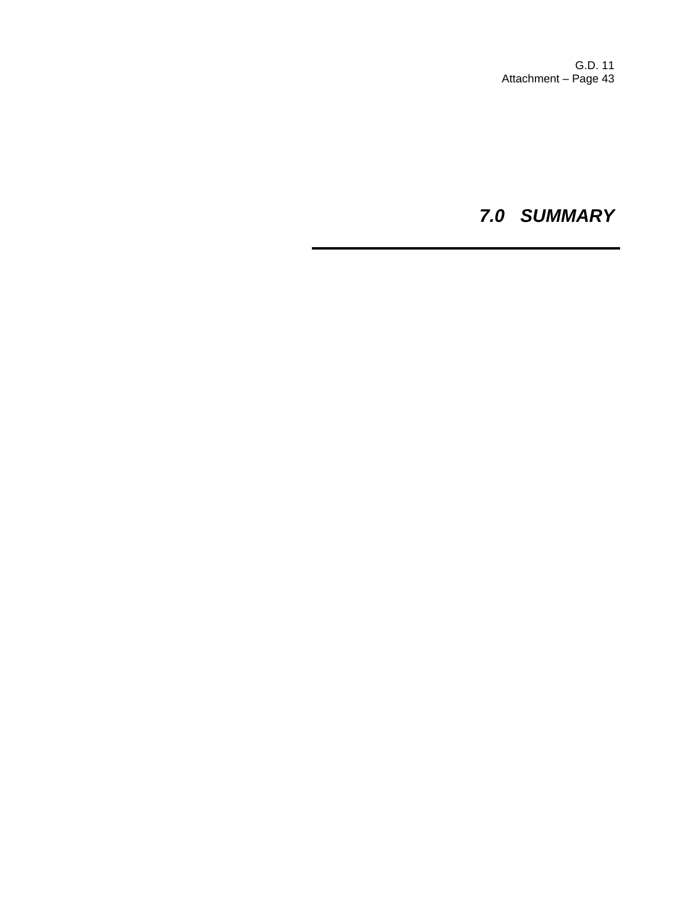G.D. 11 Attachment – Page 43

*7.0 SUMMARY*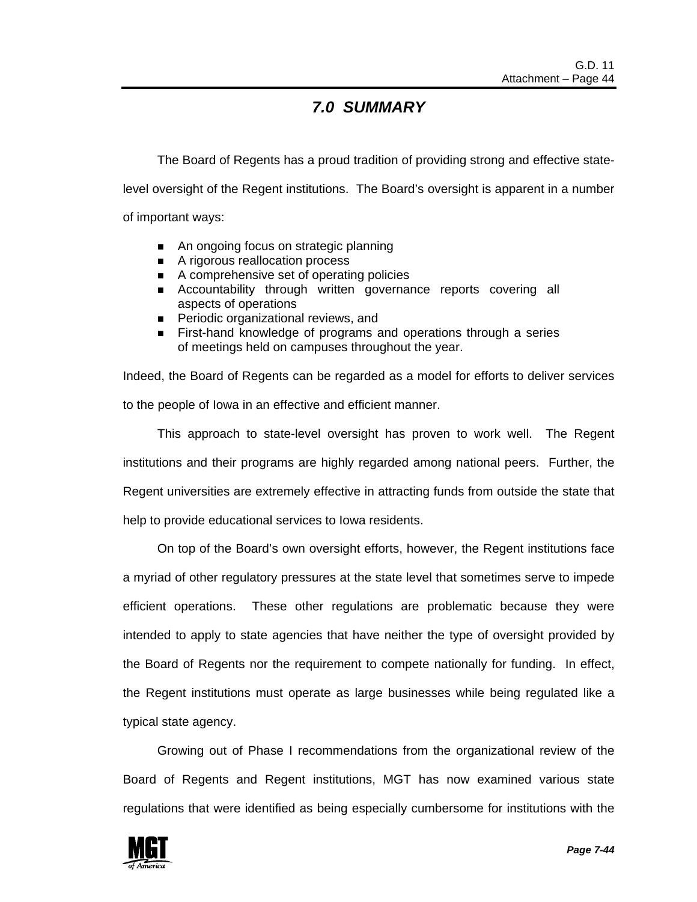### *7.0 SUMMARY*

The Board of Regents has a proud tradition of providing strong and effective statelevel oversight of the Regent institutions. The Board's oversight is apparent in a number of important ways:

- An ongoing focus on strategic planning
- A rigorous reallocation process
- A comprehensive set of operating policies
- **EXECOUNTABILITY through written governance reports covering all** aspects of operations
- **Periodic organizational reviews, and**
- **EXECT** First-hand knowledge of programs and operations through a series of meetings held on campuses throughout the year.

Indeed, the Board of Regents can be regarded as a model for efforts to deliver services to the people of Iowa in an effective and efficient manner.

 This approach to state-level oversight has proven to work well. The Regent institutions and their programs are highly regarded among national peers. Further, the Regent universities are extremely effective in attracting funds from outside the state that help to provide educational services to Iowa residents.

 On top of the Board's own oversight efforts, however, the Regent institutions face a myriad of other regulatory pressures at the state level that sometimes serve to impede efficient operations. These other regulations are problematic because they were intended to apply to state agencies that have neither the type of oversight provided by the Board of Regents nor the requirement to compete nationally for funding. In effect, the Regent institutions must operate as large businesses while being regulated like a typical state agency.

 Growing out of Phase I recommendations from the organizational review of the Board of Regents and Regent institutions, MGT has now examined various state regulations that were identified as being especially cumbersome for institutions with the

![](_page_43_Picture_13.jpeg)